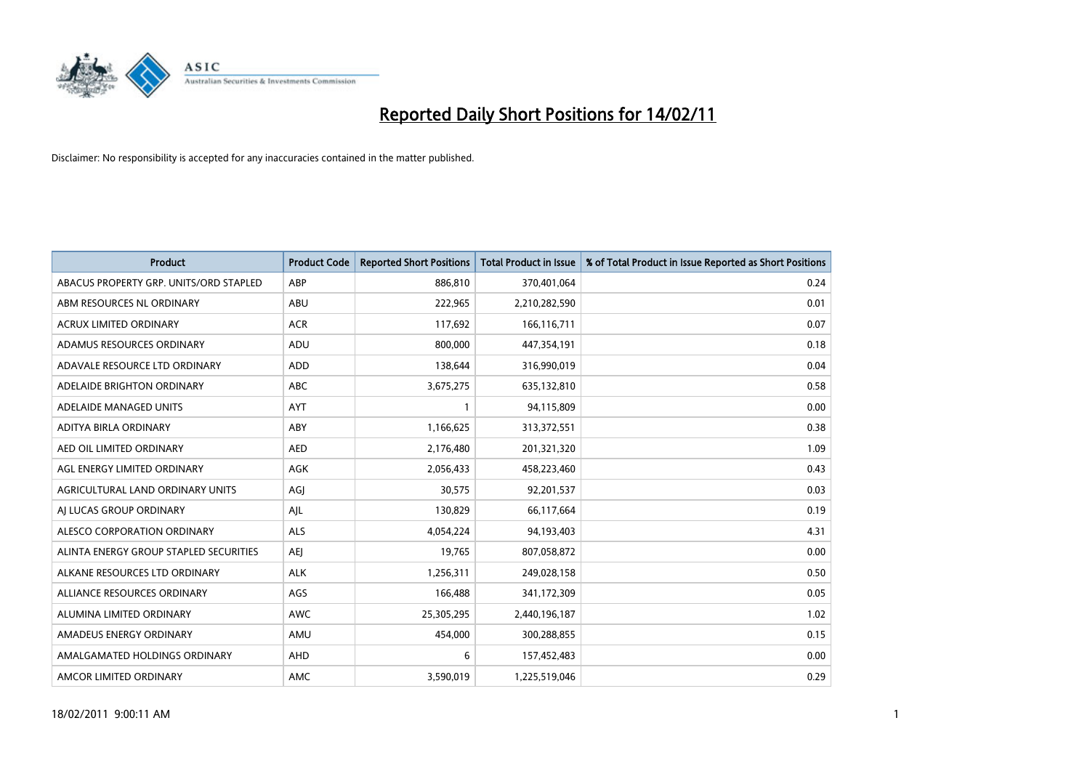

| <b>Product</b>                         | <b>Product Code</b> | <b>Reported Short Positions</b> | <b>Total Product in Issue</b> | % of Total Product in Issue Reported as Short Positions |
|----------------------------------------|---------------------|---------------------------------|-------------------------------|---------------------------------------------------------|
| ABACUS PROPERTY GRP. UNITS/ORD STAPLED | ABP                 | 886,810                         | 370,401,064                   | 0.24                                                    |
| ABM RESOURCES NL ORDINARY              | <b>ABU</b>          | 222,965                         | 2,210,282,590                 | 0.01                                                    |
| <b>ACRUX LIMITED ORDINARY</b>          | <b>ACR</b>          | 117,692                         | 166,116,711                   | 0.07                                                    |
| ADAMUS RESOURCES ORDINARY              | ADU                 | 800,000                         | 447,354,191                   | 0.18                                                    |
| ADAVALE RESOURCE LTD ORDINARY          | <b>ADD</b>          | 138,644                         | 316,990,019                   | 0.04                                                    |
| ADELAIDE BRIGHTON ORDINARY             | <b>ABC</b>          | 3,675,275                       | 635,132,810                   | 0.58                                                    |
| ADELAIDE MANAGED UNITS                 | <b>AYT</b>          |                                 | 94,115,809                    | 0.00                                                    |
| ADITYA BIRLA ORDINARY                  | ABY                 | 1,166,625                       | 313,372,551                   | 0.38                                                    |
| AED OIL LIMITED ORDINARY               | <b>AED</b>          | 2,176,480                       | 201,321,320                   | 1.09                                                    |
| AGL ENERGY LIMITED ORDINARY            | <b>AGK</b>          | 2,056,433                       | 458,223,460                   | 0.43                                                    |
| AGRICULTURAL LAND ORDINARY UNITS       | AGJ                 | 30,575                          | 92,201,537                    | 0.03                                                    |
| AI LUCAS GROUP ORDINARY                | AJL                 | 130,829                         | 66,117,664                    | 0.19                                                    |
| ALESCO CORPORATION ORDINARY            | <b>ALS</b>          | 4,054,224                       | 94,193,403                    | 4.31                                                    |
| ALINTA ENERGY GROUP STAPLED SECURITIES | <b>AEI</b>          | 19,765                          | 807,058,872                   | 0.00                                                    |
| ALKANE RESOURCES LTD ORDINARY          | <b>ALK</b>          | 1,256,311                       | 249,028,158                   | 0.50                                                    |
| ALLIANCE RESOURCES ORDINARY            | AGS                 | 166,488                         | 341,172,309                   | 0.05                                                    |
| ALUMINA LIMITED ORDINARY               | <b>AWC</b>          | 25,305,295                      | 2,440,196,187                 | 1.02                                                    |
| AMADEUS ENERGY ORDINARY                | AMU                 | 454,000                         | 300,288,855                   | 0.15                                                    |
| AMALGAMATED HOLDINGS ORDINARY          | <b>AHD</b>          | 6                               | 157,452,483                   | 0.00                                                    |
| AMCOR LIMITED ORDINARY                 | AMC                 | 3,590,019                       | 1,225,519,046                 | 0.29                                                    |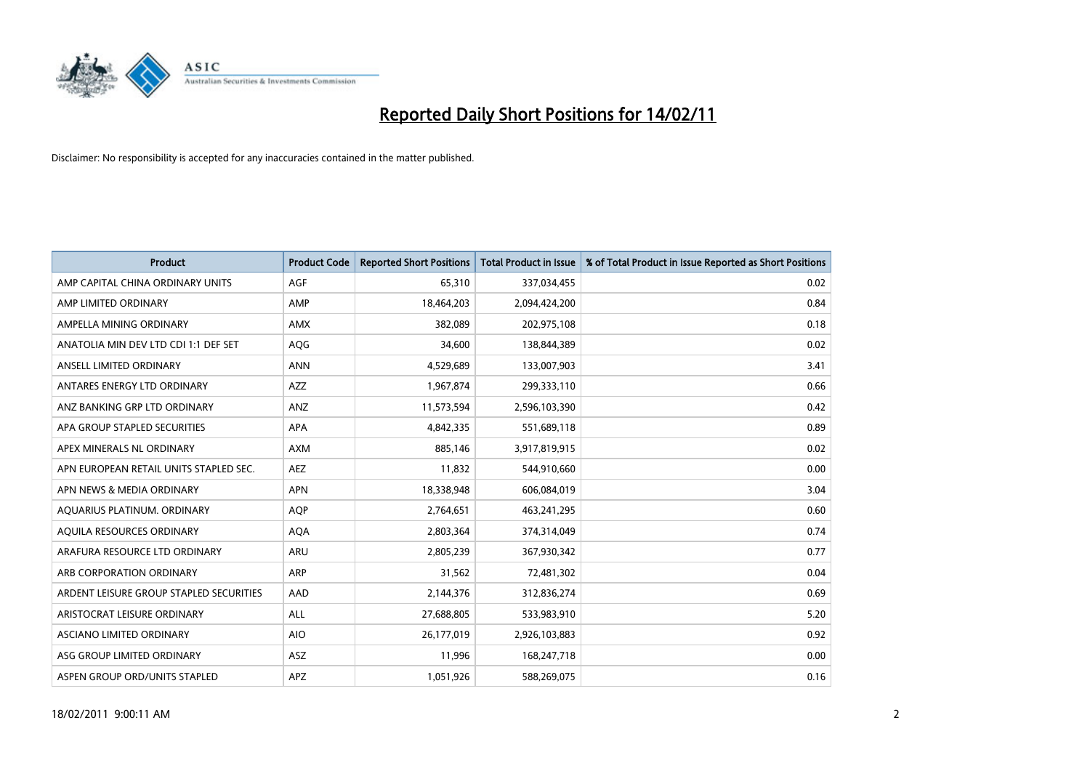

| <b>Product</b>                          | <b>Product Code</b> | <b>Reported Short Positions</b> | <b>Total Product in Issue</b> | % of Total Product in Issue Reported as Short Positions |
|-----------------------------------------|---------------------|---------------------------------|-------------------------------|---------------------------------------------------------|
| AMP CAPITAL CHINA ORDINARY UNITS        | AGF                 | 65,310                          | 337,034,455                   | 0.02                                                    |
| AMP LIMITED ORDINARY                    | AMP                 | 18,464,203                      | 2,094,424,200                 | 0.84                                                    |
| AMPELLA MINING ORDINARY                 | <b>AMX</b>          | 382,089                         | 202,975,108                   | 0.18                                                    |
| ANATOLIA MIN DEV LTD CDI 1:1 DEF SET    | AQG                 | 34,600                          | 138,844,389                   | 0.02                                                    |
| ANSELL LIMITED ORDINARY                 | <b>ANN</b>          | 4,529,689                       | 133,007,903                   | 3.41                                                    |
| ANTARES ENERGY LTD ORDINARY             | <b>AZZ</b>          | 1,967,874                       | 299,333,110                   | 0.66                                                    |
| ANZ BANKING GRP LTD ORDINARY            | <b>ANZ</b>          | 11,573,594                      | 2,596,103,390                 | 0.42                                                    |
| APA GROUP STAPLED SECURITIES            | <b>APA</b>          | 4,842,335                       | 551,689,118                   | 0.89                                                    |
| APEX MINERALS NL ORDINARY               | <b>AXM</b>          | 885,146                         | 3,917,819,915                 | 0.02                                                    |
| APN EUROPEAN RETAIL UNITS STAPLED SEC.  | <b>AEZ</b>          | 11,832                          | 544,910,660                   | 0.00                                                    |
| APN NEWS & MEDIA ORDINARY               | <b>APN</b>          | 18,338,948                      | 606,084,019                   | 3.04                                                    |
| AQUARIUS PLATINUM. ORDINARY             | <b>AOP</b>          | 2,764,651                       | 463,241,295                   | 0.60                                                    |
| AQUILA RESOURCES ORDINARY               | <b>AQA</b>          | 2,803,364                       | 374,314,049                   | 0.74                                                    |
| ARAFURA RESOURCE LTD ORDINARY           | <b>ARU</b>          | 2,805,239                       | 367,930,342                   | 0.77                                                    |
| ARB CORPORATION ORDINARY                | ARP                 | 31,562                          | 72,481,302                    | 0.04                                                    |
| ARDENT LEISURE GROUP STAPLED SECURITIES | AAD                 | 2,144,376                       | 312,836,274                   | 0.69                                                    |
| ARISTOCRAT LEISURE ORDINARY             | <b>ALL</b>          | 27,688,805                      | 533,983,910                   | 5.20                                                    |
| <b>ASCIANO LIMITED ORDINARY</b>         | <b>AIO</b>          | 26,177,019                      | 2,926,103,883                 | 0.92                                                    |
| ASG GROUP LIMITED ORDINARY              | <b>ASZ</b>          | 11,996                          | 168,247,718                   | 0.00                                                    |
| ASPEN GROUP ORD/UNITS STAPLED           | <b>APZ</b>          | 1,051,926                       | 588,269,075                   | 0.16                                                    |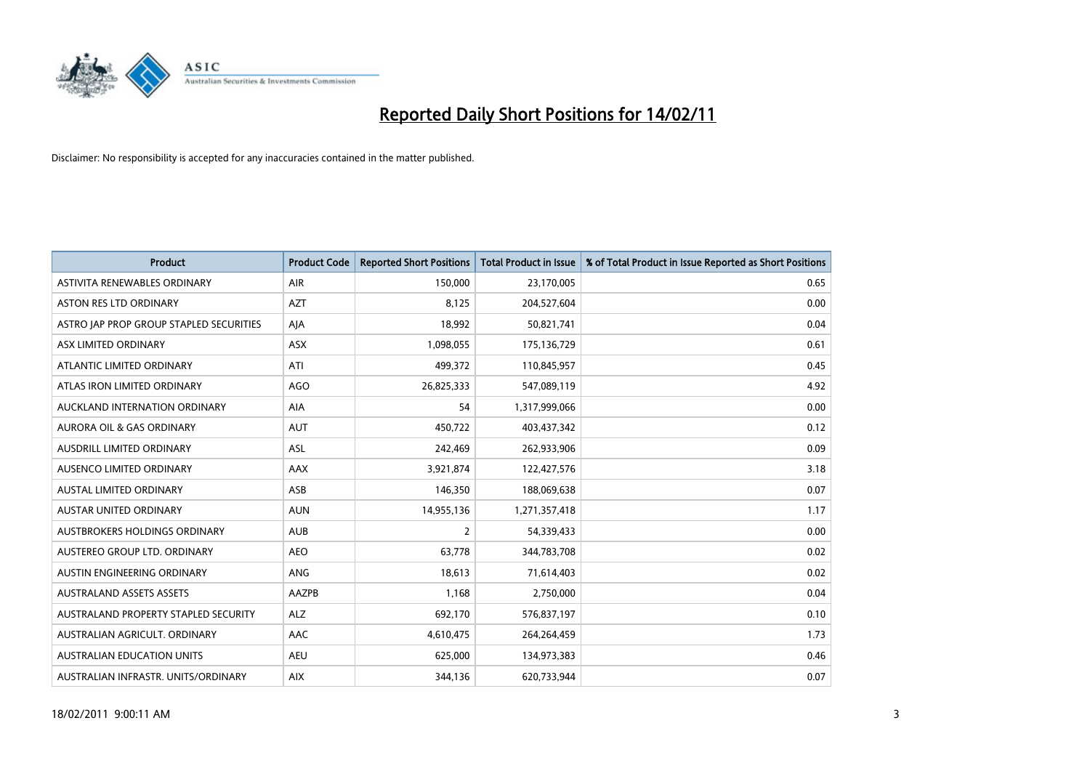

| <b>Product</b>                          | <b>Product Code</b> | <b>Reported Short Positions</b> | <b>Total Product in Issue</b> | % of Total Product in Issue Reported as Short Positions |
|-----------------------------------------|---------------------|---------------------------------|-------------------------------|---------------------------------------------------------|
| ASTIVITA RENEWABLES ORDINARY            | <b>AIR</b>          | 150,000                         | 23,170,005                    | 0.65                                                    |
| ASTON RES LTD ORDINARY                  | <b>AZT</b>          | 8,125                           | 204,527,604                   | 0.00                                                    |
| ASTRO JAP PROP GROUP STAPLED SECURITIES | AJA                 | 18,992                          | 50,821,741                    | 0.04                                                    |
| ASX LIMITED ORDINARY                    | ASX                 | 1,098,055                       | 175,136,729                   | 0.61                                                    |
| ATLANTIC LIMITED ORDINARY               | ATI                 | 499,372                         | 110,845,957                   | 0.45                                                    |
| ATLAS IRON LIMITED ORDINARY             | <b>AGO</b>          | 26,825,333                      | 547,089,119                   | 4.92                                                    |
| AUCKLAND INTERNATION ORDINARY           | <b>AIA</b>          | 54                              | 1,317,999,066                 | 0.00                                                    |
| AURORA OIL & GAS ORDINARY               | <b>AUT</b>          | 450,722                         | 403,437,342                   | 0.12                                                    |
| AUSDRILL LIMITED ORDINARY               | ASL                 | 242,469                         | 262,933,906                   | 0.09                                                    |
| AUSENCO LIMITED ORDINARY                | AAX                 | 3,921,874                       | 122,427,576                   | 3.18                                                    |
| AUSTAL LIMITED ORDINARY                 | ASB                 | 146,350                         | 188,069,638                   | 0.07                                                    |
| <b>AUSTAR UNITED ORDINARY</b>           | <b>AUN</b>          | 14,955,136                      | 1,271,357,418                 | 1.17                                                    |
| AUSTBROKERS HOLDINGS ORDINARY           | <b>AUB</b>          | $\overline{2}$                  | 54,339,433                    | 0.00                                                    |
| AUSTEREO GROUP LTD. ORDINARY            | <b>AEO</b>          | 63,778                          | 344,783,708                   | 0.02                                                    |
| AUSTIN ENGINEERING ORDINARY             | ANG                 | 18,613                          | 71,614,403                    | 0.02                                                    |
| <b>AUSTRALAND ASSETS ASSETS</b>         | AAZPB               | 1,168                           | 2,750,000                     | 0.04                                                    |
| AUSTRALAND PROPERTY STAPLED SECURITY    | <b>ALZ</b>          | 692,170                         | 576,837,197                   | 0.10                                                    |
| AUSTRALIAN AGRICULT. ORDINARY           | AAC                 | 4,610,475                       | 264,264,459                   | 1.73                                                    |
| <b>AUSTRALIAN EDUCATION UNITS</b>       | <b>AEU</b>          | 625,000                         | 134,973,383                   | 0.46                                                    |
| AUSTRALIAN INFRASTR, UNITS/ORDINARY     | <b>AIX</b>          | 344,136                         | 620,733,944                   | 0.07                                                    |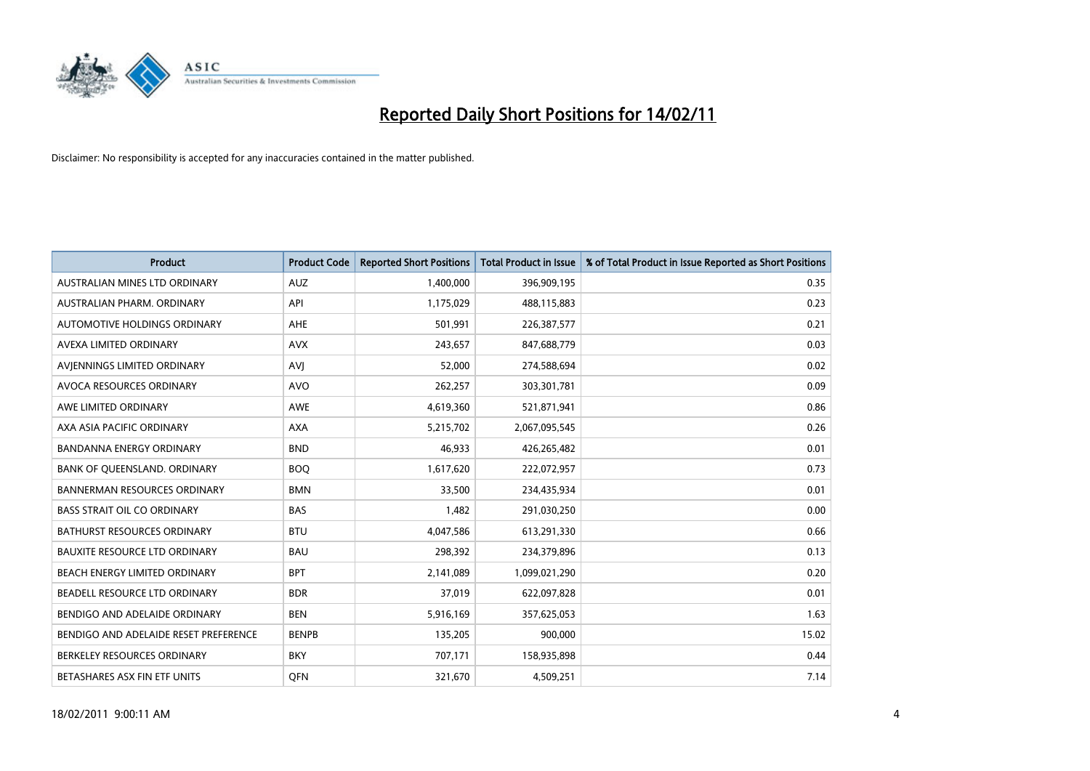

| Product                               | <b>Product Code</b> | <b>Reported Short Positions</b> | <b>Total Product in Issue</b> | % of Total Product in Issue Reported as Short Positions |
|---------------------------------------|---------------------|---------------------------------|-------------------------------|---------------------------------------------------------|
| AUSTRALIAN MINES LTD ORDINARY         | <b>AUZ</b>          | 1,400,000                       | 396,909,195                   | 0.35                                                    |
| AUSTRALIAN PHARM, ORDINARY            | API                 | 1,175,029                       | 488,115,883                   | 0.23                                                    |
| AUTOMOTIVE HOLDINGS ORDINARY          | <b>AHE</b>          | 501,991                         | 226,387,577                   | 0.21                                                    |
| AVEXA LIMITED ORDINARY                | <b>AVX</b>          | 243,657                         | 847,688,779                   | 0.03                                                    |
| AVIENNINGS LIMITED ORDINARY           | AVI                 | 52,000                          | 274,588,694                   | 0.02                                                    |
| AVOCA RESOURCES ORDINARY              | <b>AVO</b>          | 262,257                         | 303,301,781                   | 0.09                                                    |
| AWE LIMITED ORDINARY                  | <b>AWE</b>          | 4,619,360                       | 521,871,941                   | 0.86                                                    |
| AXA ASIA PACIFIC ORDINARY             | <b>AXA</b>          | 5,215,702                       | 2,067,095,545                 | 0.26                                                    |
| <b>BANDANNA ENERGY ORDINARY</b>       | <b>BND</b>          | 46,933                          | 426,265,482                   | 0.01                                                    |
| BANK OF OUEENSLAND, ORDINARY          | <b>BOQ</b>          | 1,617,620                       | 222,072,957                   | 0.73                                                    |
| <b>BANNERMAN RESOURCES ORDINARY</b>   | <b>BMN</b>          | 33,500                          | 234,435,934                   | 0.01                                                    |
| <b>BASS STRAIT OIL CO ORDINARY</b>    | <b>BAS</b>          | 1,482                           | 291,030,250                   | 0.00                                                    |
| <b>BATHURST RESOURCES ORDINARY</b>    | <b>BTU</b>          | 4,047,586                       | 613,291,330                   | 0.66                                                    |
| <b>BAUXITE RESOURCE LTD ORDINARY</b>  | <b>BAU</b>          | 298,392                         | 234,379,896                   | 0.13                                                    |
| BEACH ENERGY LIMITED ORDINARY         | <b>BPT</b>          | 2,141,089                       | 1,099,021,290                 | 0.20                                                    |
| BEADELL RESOURCE LTD ORDINARY         | <b>BDR</b>          | 37,019                          | 622,097,828                   | 0.01                                                    |
| BENDIGO AND ADELAIDE ORDINARY         | <b>BEN</b>          | 5,916,169                       | 357,625,053                   | 1.63                                                    |
| BENDIGO AND ADELAIDE RESET PREFERENCE | <b>BENPB</b>        | 135,205                         | 900,000                       | 15.02                                                   |
| BERKELEY RESOURCES ORDINARY           | <b>BKY</b>          | 707,171                         | 158,935,898                   | 0.44                                                    |
| BETASHARES ASX FIN ETF UNITS          | <b>OFN</b>          | 321,670                         | 4,509,251                     | 7.14                                                    |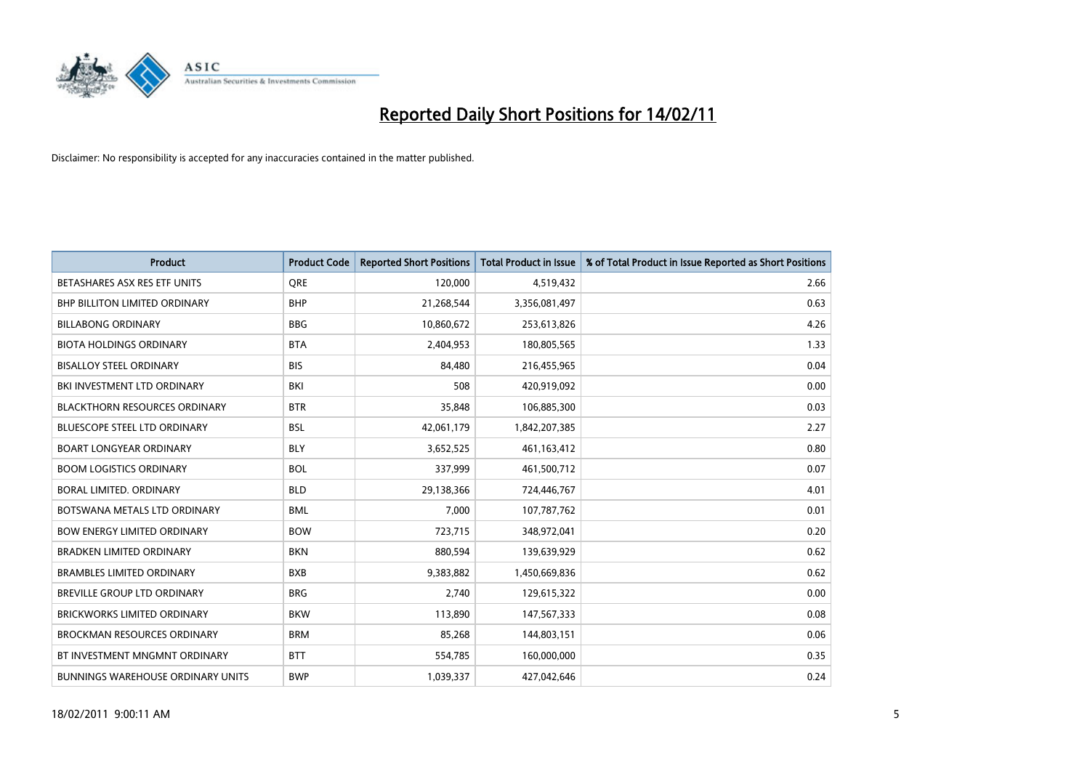

| <b>Product</b>                           | <b>Product Code</b> | <b>Reported Short Positions</b> | Total Product in Issue | % of Total Product in Issue Reported as Short Positions |
|------------------------------------------|---------------------|---------------------------------|------------------------|---------------------------------------------------------|
| BETASHARES ASX RES ETF UNITS             | <b>ORE</b>          | 120,000                         | 4,519,432              | 2.66                                                    |
| BHP BILLITON LIMITED ORDINARY            | <b>BHP</b>          | 21,268,544                      | 3,356,081,497          | 0.63                                                    |
| <b>BILLABONG ORDINARY</b>                | <b>BBG</b>          | 10,860,672                      | 253,613,826            | 4.26                                                    |
| <b>BIOTA HOLDINGS ORDINARY</b>           | <b>BTA</b>          | 2,404,953                       | 180,805,565            | 1.33                                                    |
| <b>BISALLOY STEEL ORDINARY</b>           | <b>BIS</b>          | 84,480                          | 216,455,965            | 0.04                                                    |
| BKI INVESTMENT LTD ORDINARY              | BKI                 | 508                             | 420,919,092            | 0.00                                                    |
| <b>BLACKTHORN RESOURCES ORDINARY</b>     | <b>BTR</b>          | 35,848                          | 106,885,300            | 0.03                                                    |
| <b>BLUESCOPE STEEL LTD ORDINARY</b>      | <b>BSL</b>          | 42,061,179                      | 1,842,207,385          | 2.27                                                    |
| <b>BOART LONGYEAR ORDINARY</b>           | <b>BLY</b>          | 3,652,525                       | 461,163,412            | 0.80                                                    |
| <b>BOOM LOGISTICS ORDINARY</b>           | <b>BOL</b>          | 337,999                         | 461,500,712            | 0.07                                                    |
| BORAL LIMITED. ORDINARY                  | <b>BLD</b>          | 29,138,366                      | 724,446,767            | 4.01                                                    |
| BOTSWANA METALS LTD ORDINARY             | <b>BML</b>          | 7,000                           | 107,787,762            | 0.01                                                    |
| <b>BOW ENERGY LIMITED ORDINARY</b>       | <b>BOW</b>          | 723,715                         | 348,972,041            | 0.20                                                    |
| <b>BRADKEN LIMITED ORDINARY</b>          | <b>BKN</b>          | 880,594                         | 139,639,929            | 0.62                                                    |
| <b>BRAMBLES LIMITED ORDINARY</b>         | <b>BXB</b>          | 9,383,882                       | 1,450,669,836          | 0.62                                                    |
| <b>BREVILLE GROUP LTD ORDINARY</b>       | <b>BRG</b>          | 2.740                           | 129,615,322            | 0.00                                                    |
| <b>BRICKWORKS LIMITED ORDINARY</b>       | <b>BKW</b>          | 113,890                         | 147,567,333            | 0.08                                                    |
| <b>BROCKMAN RESOURCES ORDINARY</b>       | <b>BRM</b>          | 85,268                          | 144,803,151            | 0.06                                                    |
| BT INVESTMENT MNGMNT ORDINARY            | <b>BTT</b>          | 554,785                         | 160,000,000            | 0.35                                                    |
| <b>BUNNINGS WAREHOUSE ORDINARY UNITS</b> | <b>BWP</b>          | 1,039,337                       | 427,042,646            | 0.24                                                    |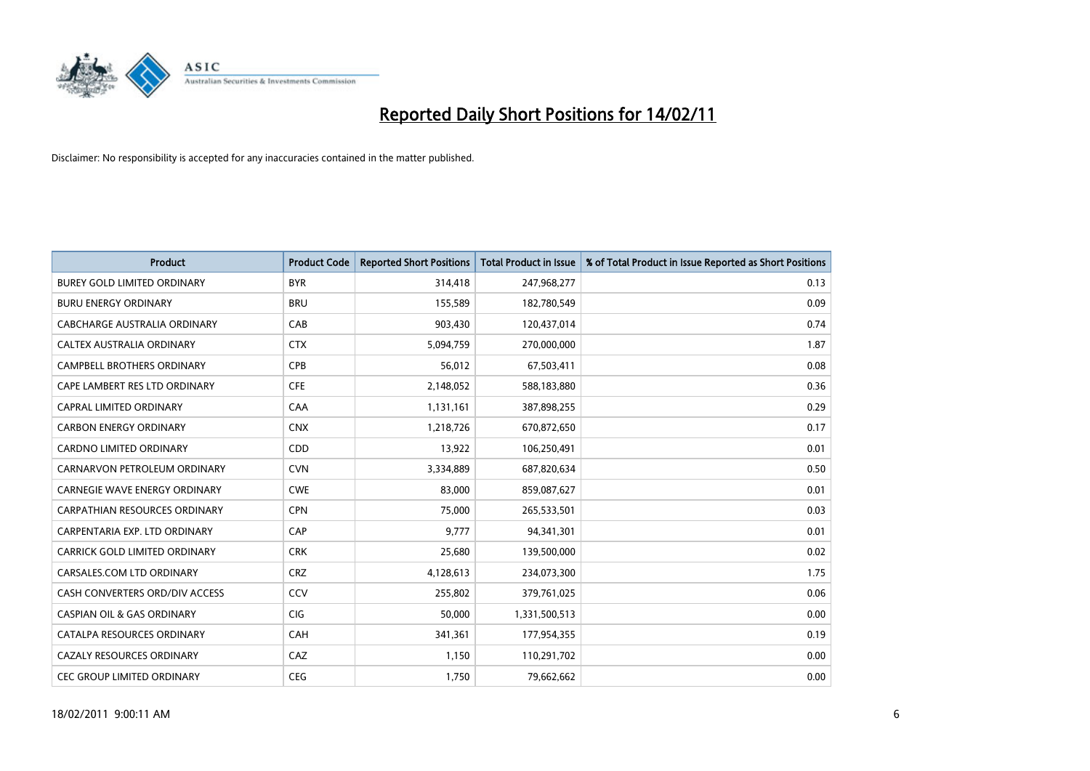

| <b>Product</b>                        | <b>Product Code</b> | <b>Reported Short Positions</b> | <b>Total Product in Issue</b> | % of Total Product in Issue Reported as Short Positions |
|---------------------------------------|---------------------|---------------------------------|-------------------------------|---------------------------------------------------------|
| <b>BUREY GOLD LIMITED ORDINARY</b>    | <b>BYR</b>          | 314,418                         | 247,968,277                   | 0.13                                                    |
| <b>BURU ENERGY ORDINARY</b>           | <b>BRU</b>          | 155,589                         | 182,780,549                   | 0.09                                                    |
| CABCHARGE AUSTRALIA ORDINARY          | CAB                 | 903,430                         | 120,437,014                   | 0.74                                                    |
| CALTEX AUSTRALIA ORDINARY             | <b>CTX</b>          | 5,094,759                       | 270,000,000                   | 1.87                                                    |
| <b>CAMPBELL BROTHERS ORDINARY</b>     | CPB                 | 56,012                          | 67,503,411                    | 0.08                                                    |
| CAPE LAMBERT RES LTD ORDINARY         | <b>CFE</b>          | 2,148,052                       | 588,183,880                   | 0.36                                                    |
| <b>CAPRAL LIMITED ORDINARY</b>        | CAA                 | 1,131,161                       | 387,898,255                   | 0.29                                                    |
| <b>CARBON ENERGY ORDINARY</b>         | <b>CNX</b>          | 1,218,726                       | 670,872,650                   | 0.17                                                    |
| CARDNO LIMITED ORDINARY               | CDD                 | 13,922                          | 106,250,491                   | 0.01                                                    |
| CARNARVON PETROLEUM ORDINARY          | <b>CVN</b>          | 3,334,889                       | 687,820,634                   | 0.50                                                    |
| <b>CARNEGIE WAVE ENERGY ORDINARY</b>  | <b>CWE</b>          | 83,000                          | 859,087,627                   | 0.01                                                    |
| <b>CARPATHIAN RESOURCES ORDINARY</b>  | <b>CPN</b>          | 75,000                          | 265,533,501                   | 0.03                                                    |
| CARPENTARIA EXP. LTD ORDINARY         | CAP                 | 9.777                           | 94,341,301                    | 0.01                                                    |
| CARRICK GOLD LIMITED ORDINARY         | <b>CRK</b>          | 25,680                          | 139,500,000                   | 0.02                                                    |
| CARSALES.COM LTD ORDINARY             | <b>CRZ</b>          | 4,128,613                       | 234,073,300                   | 1.75                                                    |
| CASH CONVERTERS ORD/DIV ACCESS        | CCV                 | 255,802                         | 379,761,025                   | 0.06                                                    |
| <b>CASPIAN OIL &amp; GAS ORDINARY</b> | <b>CIG</b>          | 50,000                          | 1,331,500,513                 | 0.00                                                    |
| CATALPA RESOURCES ORDINARY            | CAH                 | 341,361                         | 177,954,355                   | 0.19                                                    |
| <b>CAZALY RESOURCES ORDINARY</b>      | CAZ                 | 1,150                           | 110,291,702                   | 0.00                                                    |
| <b>CEC GROUP LIMITED ORDINARY</b>     | <b>CEG</b>          | 1,750                           | 79,662,662                    | 0.00                                                    |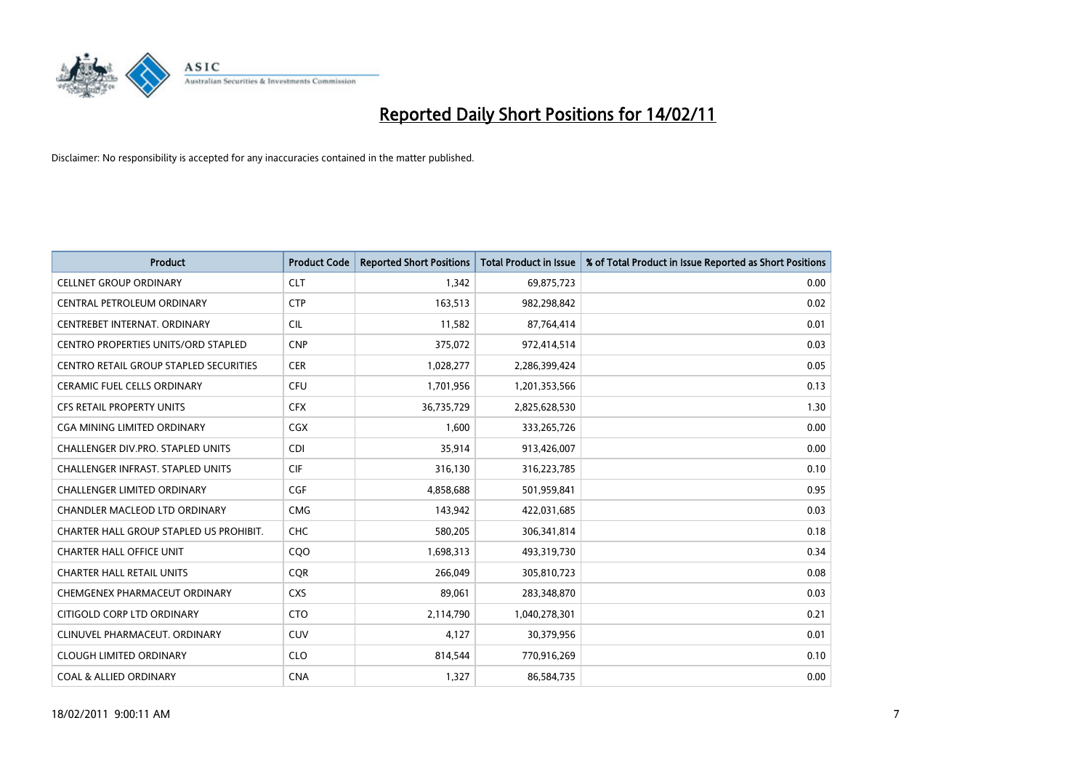

| <b>Product</b>                                | <b>Product Code</b> | <b>Reported Short Positions</b> | <b>Total Product in Issue</b> | % of Total Product in Issue Reported as Short Positions |
|-----------------------------------------------|---------------------|---------------------------------|-------------------------------|---------------------------------------------------------|
| <b>CELLNET GROUP ORDINARY</b>                 | <b>CLT</b>          | 1,342                           | 69,875,723                    | 0.00                                                    |
| CENTRAL PETROLEUM ORDINARY                    | <b>CTP</b>          | 163,513                         | 982,298,842                   | 0.02                                                    |
| CENTREBET INTERNAT, ORDINARY                  | <b>CIL</b>          | 11,582                          | 87,764,414                    | 0.01                                                    |
| CENTRO PROPERTIES UNITS/ORD STAPLED           | <b>CNP</b>          | 375,072                         | 972,414,514                   | 0.03                                                    |
| <b>CENTRO RETAIL GROUP STAPLED SECURITIES</b> | <b>CER</b>          | 1,028,277                       | 2,286,399,424                 | 0.05                                                    |
| <b>CERAMIC FUEL CELLS ORDINARY</b>            | <b>CFU</b>          | 1,701,956                       | 1,201,353,566                 | 0.13                                                    |
| <b>CFS RETAIL PROPERTY UNITS</b>              | <b>CFX</b>          | 36,735,729                      | 2,825,628,530                 | 1.30                                                    |
| <b>CGA MINING LIMITED ORDINARY</b>            | <b>CGX</b>          | 1,600                           | 333,265,726                   | 0.00                                                    |
| CHALLENGER DIV.PRO. STAPLED UNITS             | <b>CDI</b>          | 35,914                          | 913,426,007                   | 0.00                                                    |
| <b>CHALLENGER INFRAST, STAPLED UNITS</b>      | <b>CIF</b>          | 316,130                         | 316,223,785                   | 0.10                                                    |
| <b>CHALLENGER LIMITED ORDINARY</b>            | <b>CGF</b>          | 4,858,688                       | 501,959,841                   | 0.95                                                    |
| <b>CHANDLER MACLEOD LTD ORDINARY</b>          | <b>CMG</b>          | 143,942                         | 422,031,685                   | 0.03                                                    |
| CHARTER HALL GROUP STAPLED US PROHIBIT.       | CHC                 | 580,205                         | 306,341,814                   | 0.18                                                    |
| <b>CHARTER HALL OFFICE UNIT</b>               | COO                 | 1,698,313                       | 493,319,730                   | 0.34                                                    |
| <b>CHARTER HALL RETAIL UNITS</b>              | <b>COR</b>          | 266,049                         | 305,810,723                   | 0.08                                                    |
| CHEMGENEX PHARMACEUT ORDINARY                 | <b>CXS</b>          | 89,061                          | 283,348,870                   | 0.03                                                    |
| CITIGOLD CORP LTD ORDINARY                    | <b>CTO</b>          | 2,114,790                       | 1,040,278,301                 | 0.21                                                    |
| CLINUVEL PHARMACEUT. ORDINARY                 | <b>CUV</b>          | 4,127                           | 30,379,956                    | 0.01                                                    |
| <b>CLOUGH LIMITED ORDINARY</b>                | <b>CLO</b>          | 814,544                         | 770,916,269                   | 0.10                                                    |
| <b>COAL &amp; ALLIED ORDINARY</b>             | <b>CNA</b>          | 1,327                           | 86,584,735                    | 0.00                                                    |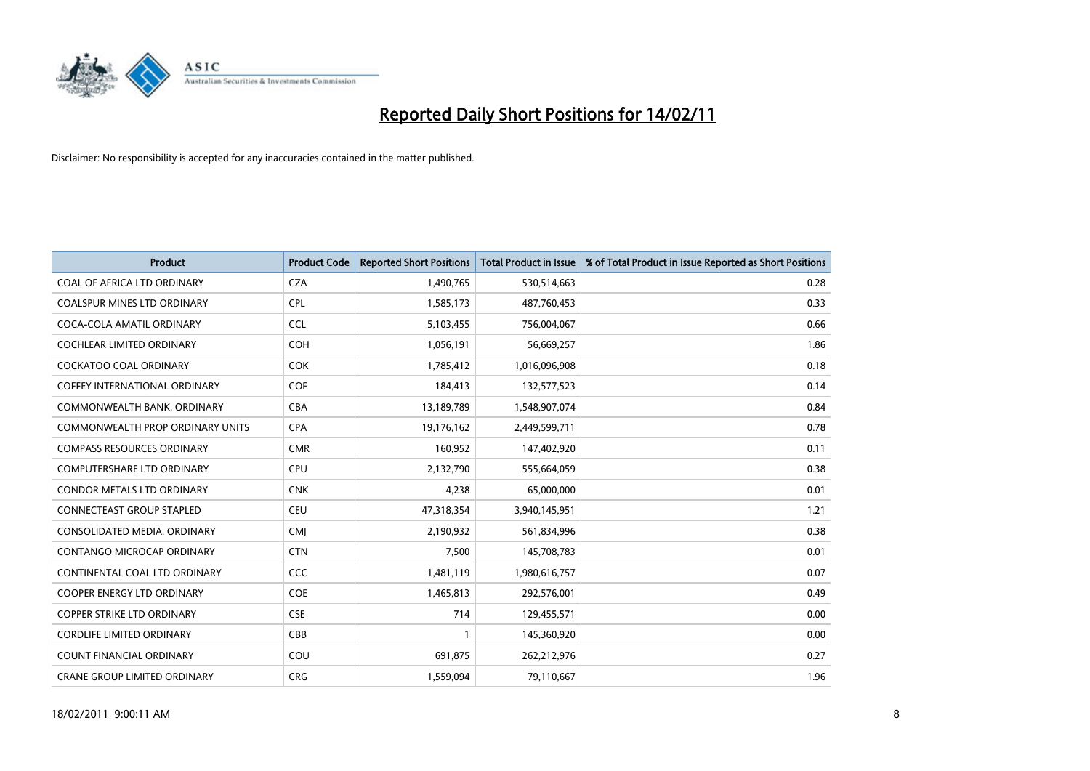

| <b>Product</b>                          | <b>Product Code</b> | <b>Reported Short Positions</b> | Total Product in Issue | % of Total Product in Issue Reported as Short Positions |
|-----------------------------------------|---------------------|---------------------------------|------------------------|---------------------------------------------------------|
| COAL OF AFRICA LTD ORDINARY             | <b>CZA</b>          | 1,490,765                       | 530,514,663            | 0.28                                                    |
| <b>COALSPUR MINES LTD ORDINARY</b>      | <b>CPL</b>          | 1,585,173                       | 487,760,453            | 0.33                                                    |
| COCA-COLA AMATIL ORDINARY               | <b>CCL</b>          | 5,103,455                       | 756,004,067            | 0.66                                                    |
| COCHLEAR LIMITED ORDINARY               | <b>COH</b>          | 1,056,191                       | 56,669,257             | 1.86                                                    |
| <b>COCKATOO COAL ORDINARY</b>           | <b>COK</b>          | 1,785,412                       | 1,016,096,908          | 0.18                                                    |
| COFFEY INTERNATIONAL ORDINARY           | <b>COF</b>          | 184,413                         | 132,577,523            | 0.14                                                    |
| COMMONWEALTH BANK, ORDINARY             | <b>CBA</b>          | 13,189,789                      | 1,548,907,074          | 0.84                                                    |
| <b>COMMONWEALTH PROP ORDINARY UNITS</b> | <b>CPA</b>          | 19,176,162                      | 2,449,599,711          | 0.78                                                    |
| <b>COMPASS RESOURCES ORDINARY</b>       | <b>CMR</b>          | 160,952                         | 147,402,920            | 0.11                                                    |
| <b>COMPUTERSHARE LTD ORDINARY</b>       | <b>CPU</b>          | 2,132,790                       | 555,664,059            | 0.38                                                    |
| <b>CONDOR METALS LTD ORDINARY</b>       | <b>CNK</b>          | 4,238                           | 65,000,000             | 0.01                                                    |
| CONNECTEAST GROUP STAPLED               | <b>CEU</b>          | 47,318,354                      | 3,940,145,951          | 1.21                                                    |
| CONSOLIDATED MEDIA, ORDINARY            | <b>CMI</b>          | 2,190,932                       | 561,834,996            | 0.38                                                    |
| CONTANGO MICROCAP ORDINARY              | <b>CTN</b>          | 7,500                           | 145,708,783            | 0.01                                                    |
| CONTINENTAL COAL LTD ORDINARY           | CCC                 | 1,481,119                       | 1,980,616,757          | 0.07                                                    |
| <b>COOPER ENERGY LTD ORDINARY</b>       | <b>COE</b>          | 1,465,813                       | 292,576,001            | 0.49                                                    |
| <b>COPPER STRIKE LTD ORDINARY</b>       | <b>CSE</b>          | 714                             | 129,455,571            | 0.00                                                    |
| <b>CORDLIFE LIMITED ORDINARY</b>        | CBB                 |                                 | 145,360,920            | 0.00                                                    |
| <b>COUNT FINANCIAL ORDINARY</b>         | COU                 | 691,875                         | 262,212,976            | 0.27                                                    |
| <b>CRANE GROUP LIMITED ORDINARY</b>     | <b>CRG</b>          | 1,559,094                       | 79,110,667             | 1.96                                                    |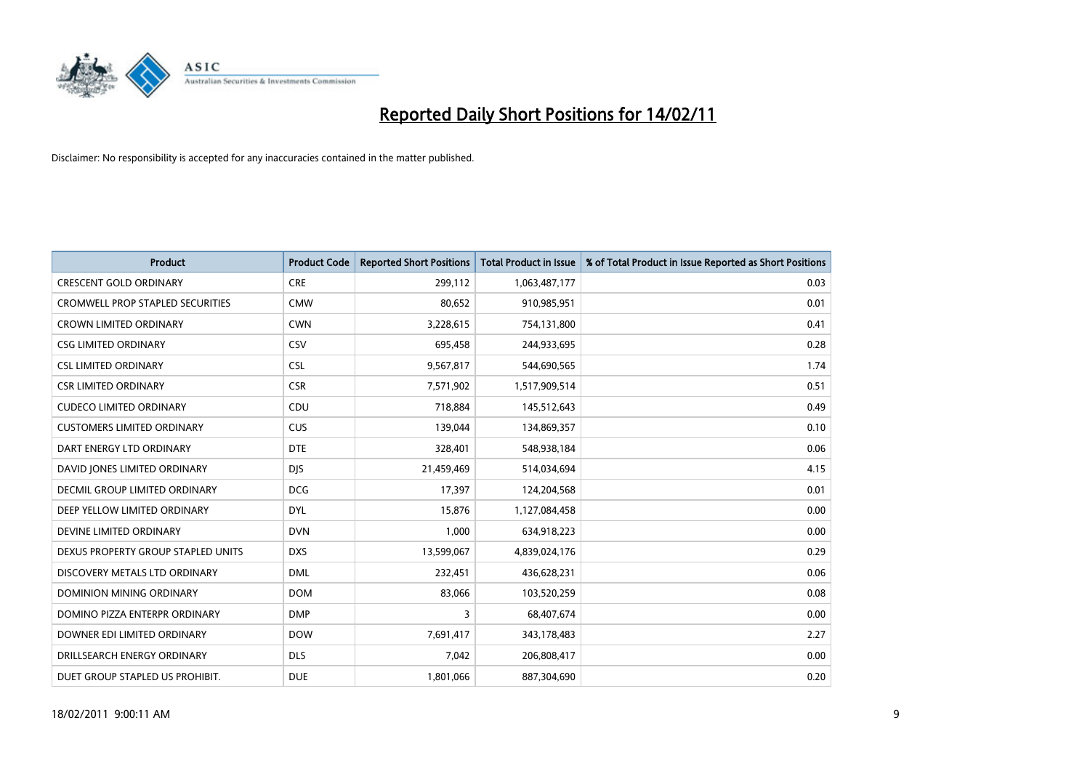

| <b>Product</b>                          | <b>Product Code</b> | <b>Reported Short Positions</b> | <b>Total Product in Issue</b> | % of Total Product in Issue Reported as Short Positions |
|-----------------------------------------|---------------------|---------------------------------|-------------------------------|---------------------------------------------------------|
| <b>CRESCENT GOLD ORDINARY</b>           | <b>CRE</b>          | 299,112                         | 1,063,487,177                 | 0.03                                                    |
| <b>CROMWELL PROP STAPLED SECURITIES</b> | <b>CMW</b>          | 80,652                          | 910,985,951                   | 0.01                                                    |
| <b>CROWN LIMITED ORDINARY</b>           | <b>CWN</b>          | 3,228,615                       | 754,131,800                   | 0.41                                                    |
| <b>CSG LIMITED ORDINARY</b>             | CSV                 | 695,458                         | 244,933,695                   | 0.28                                                    |
| <b>CSL LIMITED ORDINARY</b>             | <b>CSL</b>          | 9,567,817                       | 544,690,565                   | 1.74                                                    |
| <b>CSR LIMITED ORDINARY</b>             | <b>CSR</b>          | 7,571,902                       | 1,517,909,514                 | 0.51                                                    |
| <b>CUDECO LIMITED ORDINARY</b>          | CDU                 | 718,884                         | 145,512,643                   | 0.49                                                    |
| <b>CUSTOMERS LIMITED ORDINARY</b>       | <b>CUS</b>          | 139,044                         | 134,869,357                   | 0.10                                                    |
| DART ENERGY LTD ORDINARY                | <b>DTE</b>          | 328,401                         | 548,938,184                   | 0.06                                                    |
| DAVID JONES LIMITED ORDINARY            | <b>DJS</b>          | 21,459,469                      | 514,034,694                   | 4.15                                                    |
| DECMIL GROUP LIMITED ORDINARY           | <b>DCG</b>          | 17,397                          | 124,204,568                   | 0.01                                                    |
| DEEP YELLOW LIMITED ORDINARY            | <b>DYL</b>          | 15,876                          | 1,127,084,458                 | 0.00                                                    |
| DEVINE LIMITED ORDINARY                 | <b>DVN</b>          | 1,000                           | 634,918,223                   | 0.00                                                    |
| DEXUS PROPERTY GROUP STAPLED UNITS      | <b>DXS</b>          | 13,599,067                      | 4,839,024,176                 | 0.29                                                    |
| DISCOVERY METALS LTD ORDINARY           | <b>DML</b>          | 232,451                         | 436,628,231                   | 0.06                                                    |
| <b>DOMINION MINING ORDINARY</b>         | <b>DOM</b>          | 83,066                          | 103,520,259                   | 0.08                                                    |
| DOMINO PIZZA ENTERPR ORDINARY           | <b>DMP</b>          | 3                               | 68,407,674                    | 0.00                                                    |
| DOWNER EDI LIMITED ORDINARY             | <b>DOW</b>          | 7,691,417                       | 343,178,483                   | 2.27                                                    |
| DRILLSEARCH ENERGY ORDINARY             | <b>DLS</b>          | 7,042                           | 206,808,417                   | 0.00                                                    |
| DUET GROUP STAPLED US PROHIBIT.         | <b>DUE</b>          | 1,801,066                       | 887,304,690                   | 0.20                                                    |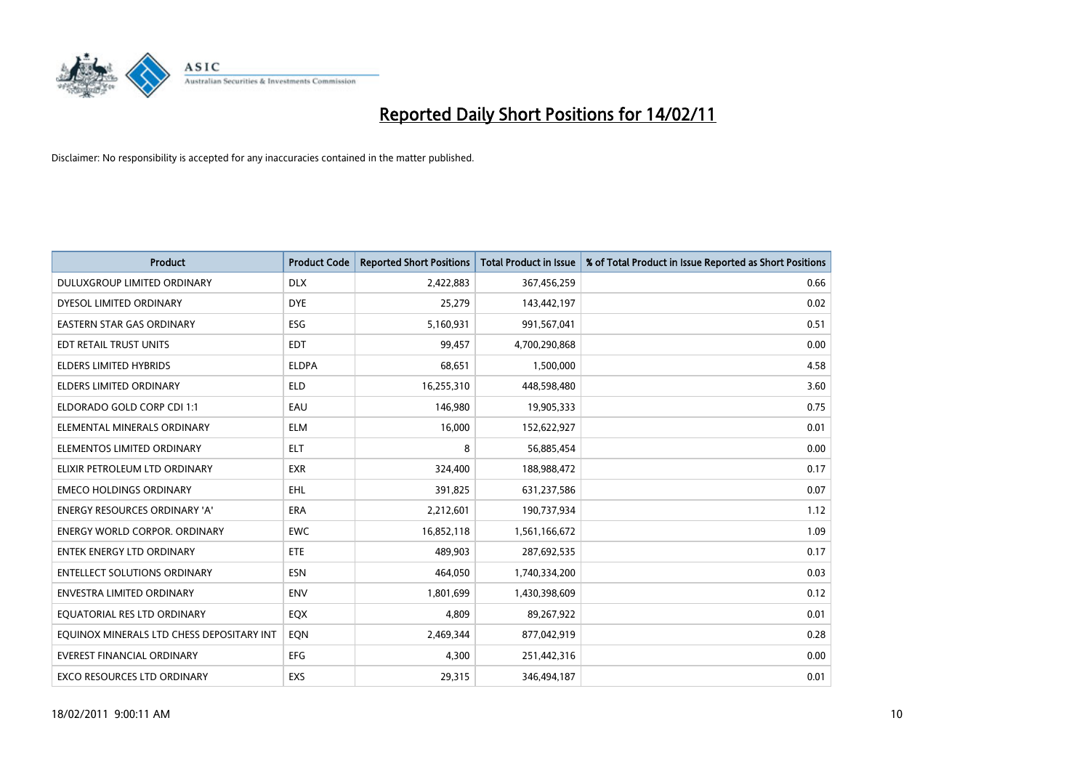

| <b>Product</b>                            | <b>Product Code</b> | <b>Reported Short Positions</b> | <b>Total Product in Issue</b> | % of Total Product in Issue Reported as Short Positions |
|-------------------------------------------|---------------------|---------------------------------|-------------------------------|---------------------------------------------------------|
| DULUXGROUP LIMITED ORDINARY               | <b>DLX</b>          | 2,422,883                       | 367,456,259                   | 0.66                                                    |
| DYESOL LIMITED ORDINARY                   | <b>DYE</b>          | 25,279                          | 143,442,197                   | 0.02                                                    |
| <b>EASTERN STAR GAS ORDINARY</b>          | ESG                 | 5,160,931                       | 991,567,041                   | 0.51                                                    |
| EDT RETAIL TRUST UNITS                    | <b>EDT</b>          | 99,457                          | 4,700,290,868                 | 0.00                                                    |
| <b>ELDERS LIMITED HYBRIDS</b>             | <b>ELDPA</b>        | 68,651                          | 1,500,000                     | 4.58                                                    |
| <b>ELDERS LIMITED ORDINARY</b>            | <b>ELD</b>          | 16,255,310                      | 448,598,480                   | 3.60                                                    |
| ELDORADO GOLD CORP CDI 1:1                | EAU                 | 146,980                         | 19,905,333                    | 0.75                                                    |
| ELEMENTAL MINERALS ORDINARY               | <b>ELM</b>          | 16,000                          | 152,622,927                   | 0.01                                                    |
| ELEMENTOS LIMITED ORDINARY                | <b>ELT</b>          | 8                               | 56,885,454                    | 0.00                                                    |
| ELIXIR PETROLEUM LTD ORDINARY             | <b>EXR</b>          | 324,400                         | 188,988,472                   | 0.17                                                    |
| <b>EMECO HOLDINGS ORDINARY</b>            | <b>EHL</b>          | 391,825                         | 631,237,586                   | 0.07                                                    |
| <b>ENERGY RESOURCES ORDINARY 'A'</b>      | ERA                 | 2,212,601                       | 190,737,934                   | 1.12                                                    |
| <b>ENERGY WORLD CORPOR, ORDINARY</b>      | <b>EWC</b>          | 16,852,118                      | 1,561,166,672                 | 1.09                                                    |
| <b>ENTEK ENERGY LTD ORDINARY</b>          | <b>ETE</b>          | 489.903                         | 287,692,535                   | 0.17                                                    |
| <b>ENTELLECT SOLUTIONS ORDINARY</b>       | <b>ESN</b>          | 464.050                         | 1,740,334,200                 | 0.03                                                    |
| <b>ENVESTRA LIMITED ORDINARY</b>          | <b>ENV</b>          | 1,801,699                       | 1,430,398,609                 | 0.12                                                    |
| EQUATORIAL RES LTD ORDINARY               | EQX                 | 4,809                           | 89,267,922                    | 0.01                                                    |
| EQUINOX MINERALS LTD CHESS DEPOSITARY INT | EQN                 | 2,469,344                       | 877,042,919                   | 0.28                                                    |
| <b>EVEREST FINANCIAL ORDINARY</b>         | EFG                 | 4,300                           | 251,442,316                   | 0.00                                                    |
| EXCO RESOURCES LTD ORDINARY               | EXS                 | 29,315                          | 346,494,187                   | 0.01                                                    |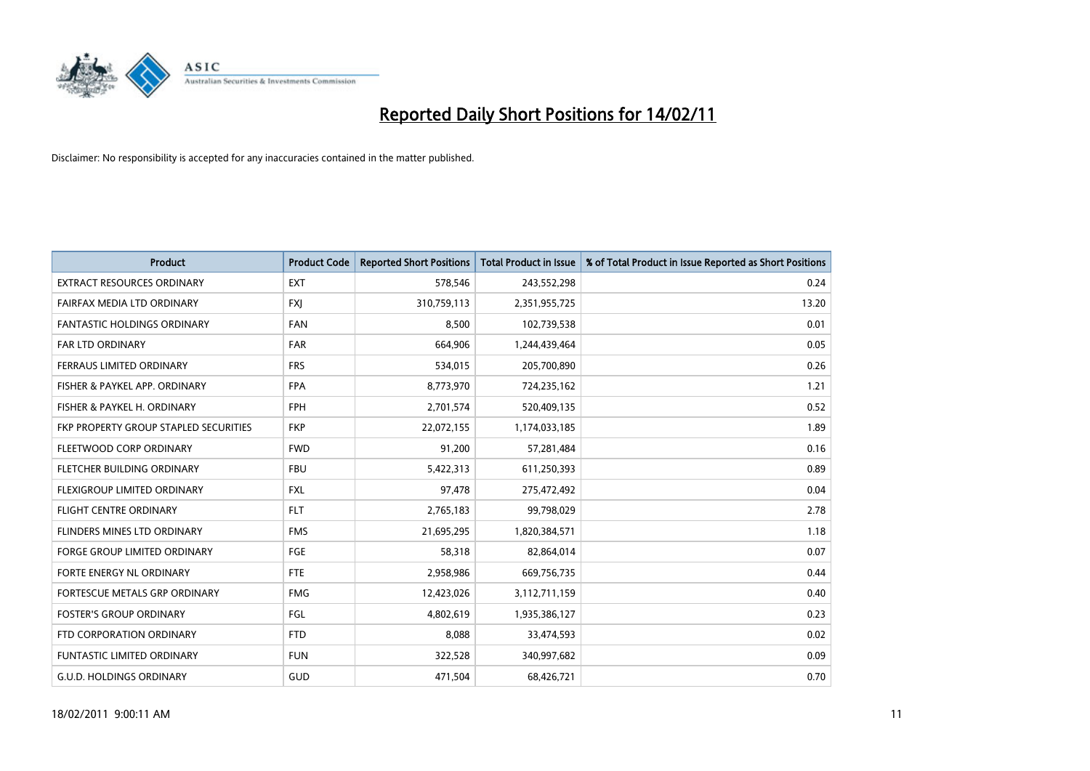

| <b>Product</b>                        | <b>Product Code</b> | <b>Reported Short Positions</b> | <b>Total Product in Issue</b> | % of Total Product in Issue Reported as Short Positions |
|---------------------------------------|---------------------|---------------------------------|-------------------------------|---------------------------------------------------------|
| <b>EXTRACT RESOURCES ORDINARY</b>     | <b>EXT</b>          | 578,546                         | 243,552,298                   | 0.24                                                    |
| FAIRFAX MEDIA LTD ORDINARY            | <b>FXI</b>          | 310,759,113                     | 2,351,955,725                 | 13.20                                                   |
| <b>FANTASTIC HOLDINGS ORDINARY</b>    | <b>FAN</b>          | 8,500                           | 102,739,538                   | 0.01                                                    |
| FAR LTD ORDINARY                      | <b>FAR</b>          | 664,906                         | 1,244,439,464                 | 0.05                                                    |
| <b>FERRAUS LIMITED ORDINARY</b>       | <b>FRS</b>          | 534,015                         | 205,700,890                   | 0.26                                                    |
| FISHER & PAYKEL APP. ORDINARY         | <b>FPA</b>          | 8,773,970                       | 724,235,162                   | 1.21                                                    |
| FISHER & PAYKEL H. ORDINARY           | <b>FPH</b>          | 2,701,574                       | 520,409,135                   | 0.52                                                    |
| FKP PROPERTY GROUP STAPLED SECURITIES | <b>FKP</b>          | 22,072,155                      | 1,174,033,185                 | 1.89                                                    |
| FLEETWOOD CORP ORDINARY               | <b>FWD</b>          | 91,200                          | 57,281,484                    | 0.16                                                    |
| FLETCHER BUILDING ORDINARY            | <b>FBU</b>          | 5,422,313                       | 611,250,393                   | 0.89                                                    |
| FLEXIGROUP LIMITED ORDINARY           | <b>FXL</b>          | 97,478                          | 275,472,492                   | 0.04                                                    |
| <b>FLIGHT CENTRE ORDINARY</b>         | <b>FLT</b>          | 2,765,183                       | 99,798,029                    | 2.78                                                    |
| FLINDERS MINES LTD ORDINARY           | <b>FMS</b>          | 21,695,295                      | 1,820,384,571                 | 1.18                                                    |
| <b>FORGE GROUP LIMITED ORDINARY</b>   | FGE                 | 58,318                          | 82,864,014                    | 0.07                                                    |
| FORTE ENERGY NL ORDINARY              | <b>FTE</b>          | 2,958,986                       | 669,756,735                   | 0.44                                                    |
| FORTESCUE METALS GRP ORDINARY         | <b>FMG</b>          | 12,423,026                      | 3,112,711,159                 | 0.40                                                    |
| <b>FOSTER'S GROUP ORDINARY</b>        | <b>FGL</b>          | 4,802,619                       | 1,935,386,127                 | 0.23                                                    |
| FTD CORPORATION ORDINARY              | <b>FTD</b>          | 8,088                           | 33,474,593                    | 0.02                                                    |
| FUNTASTIC LIMITED ORDINARY            | <b>FUN</b>          | 322,528                         | 340,997,682                   | 0.09                                                    |
| <b>G.U.D. HOLDINGS ORDINARY</b>       | GUD                 | 471,504                         | 68,426,721                    | 0.70                                                    |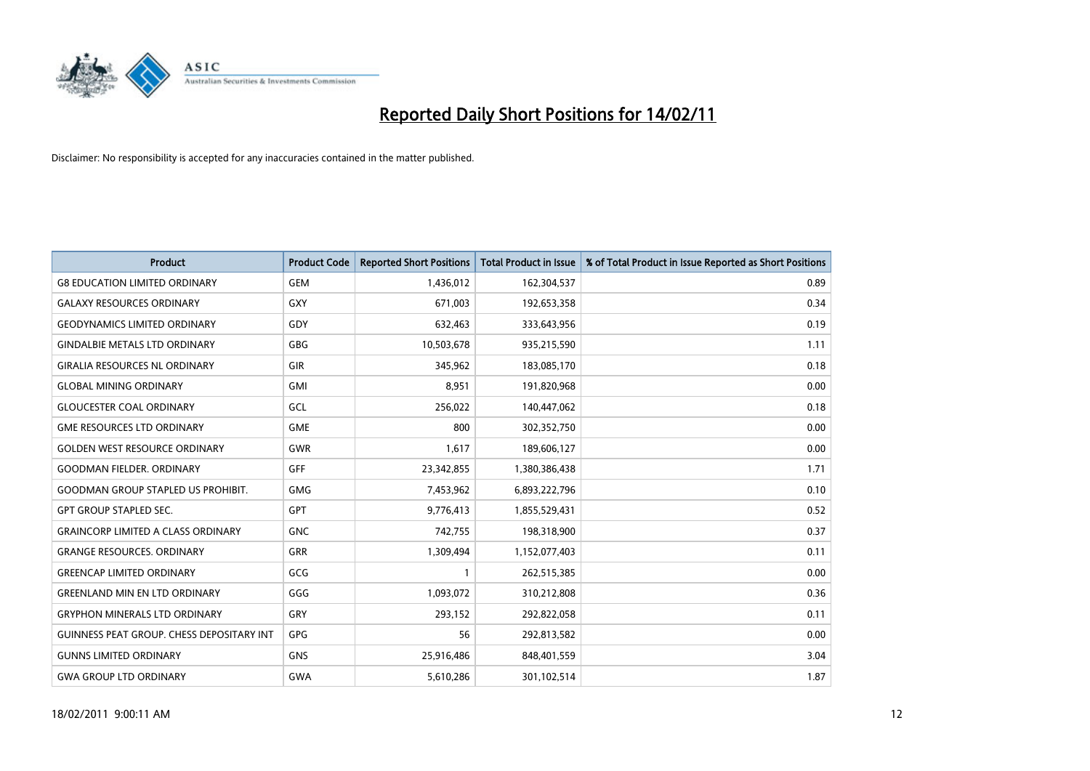

| <b>Product</b>                            | <b>Product Code</b> | <b>Reported Short Positions</b> | Total Product in Issue | % of Total Product in Issue Reported as Short Positions |
|-------------------------------------------|---------------------|---------------------------------|------------------------|---------------------------------------------------------|
| <b>G8 EDUCATION LIMITED ORDINARY</b>      | <b>GEM</b>          | 1,436,012                       | 162,304,537            | 0.89                                                    |
| <b>GALAXY RESOURCES ORDINARY</b>          | GXY                 | 671,003                         | 192,653,358            | 0.34                                                    |
| <b>GEODYNAMICS LIMITED ORDINARY</b>       | GDY                 | 632,463                         | 333,643,956            | 0.19                                                    |
| <b>GINDALBIE METALS LTD ORDINARY</b>      | <b>GBG</b>          | 10,503,678                      | 935,215,590            | 1.11                                                    |
| <b>GIRALIA RESOURCES NL ORDINARY</b>      | GIR                 | 345,962                         | 183,085,170            | 0.18                                                    |
| <b>GLOBAL MINING ORDINARY</b>             | <b>GMI</b>          | 8,951                           | 191,820,968            | 0.00                                                    |
| <b>GLOUCESTER COAL ORDINARY</b>           | GCL                 | 256,022                         | 140,447,062            | 0.18                                                    |
| <b>GME RESOURCES LTD ORDINARY</b>         | <b>GME</b>          | 800                             | 302,352,750            | 0.00                                                    |
| <b>GOLDEN WEST RESOURCE ORDINARY</b>      | <b>GWR</b>          | 1,617                           | 189,606,127            | 0.00                                                    |
| <b>GOODMAN FIELDER, ORDINARY</b>          | <b>GFF</b>          | 23,342,855                      | 1,380,386,438          | 1.71                                                    |
| <b>GOODMAN GROUP STAPLED US PROHIBIT.</b> | <b>GMG</b>          | 7,453,962                       | 6,893,222,796          | 0.10                                                    |
| <b>GPT GROUP STAPLED SEC.</b>             | <b>GPT</b>          | 9,776,413                       | 1,855,529,431          | 0.52                                                    |
| <b>GRAINCORP LIMITED A CLASS ORDINARY</b> | <b>GNC</b>          | 742,755                         | 198,318,900            | 0.37                                                    |
| <b>GRANGE RESOURCES, ORDINARY</b>         | <b>GRR</b>          | 1,309,494                       | 1,152,077,403          | 0.11                                                    |
| <b>GREENCAP LIMITED ORDINARY</b>          | GCG                 |                                 | 262,515,385            | 0.00                                                    |
| <b>GREENLAND MIN EN LTD ORDINARY</b>      | GGG                 | 1,093,072                       | 310,212,808            | 0.36                                                    |
| <b>GRYPHON MINERALS LTD ORDINARY</b>      | GRY                 | 293,152                         | 292,822,058            | 0.11                                                    |
| GUINNESS PEAT GROUP. CHESS DEPOSITARY INT | <b>GPG</b>          | 56                              | 292,813,582            | 0.00                                                    |
| <b>GUNNS LIMITED ORDINARY</b>             | <b>GNS</b>          | 25,916,486                      | 848,401,559            | 3.04                                                    |
| <b>GWA GROUP LTD ORDINARY</b>             | <b>GWA</b>          | 5,610,286                       | 301,102,514            | 1.87                                                    |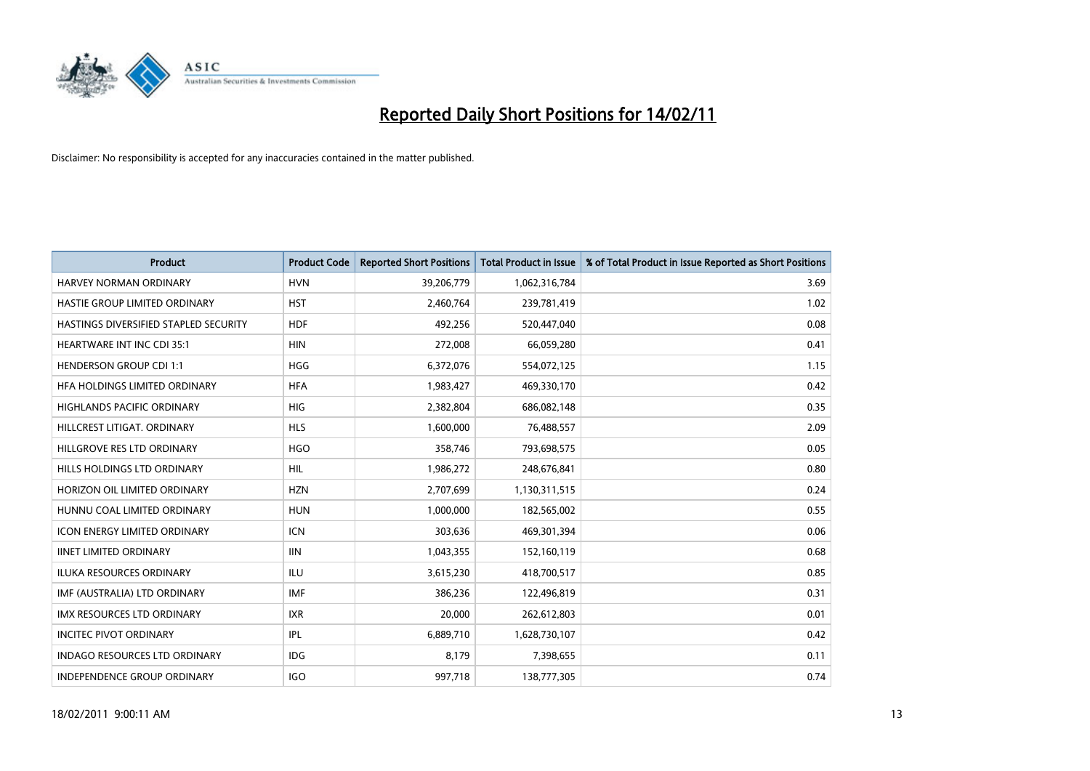

| <b>Product</b>                        | <b>Product Code</b> | <b>Reported Short Positions</b> | <b>Total Product in Issue</b> | % of Total Product in Issue Reported as Short Positions |
|---------------------------------------|---------------------|---------------------------------|-------------------------------|---------------------------------------------------------|
| <b>HARVEY NORMAN ORDINARY</b>         | <b>HVN</b>          | 39,206,779                      | 1,062,316,784                 | 3.69                                                    |
| HASTIE GROUP LIMITED ORDINARY         | <b>HST</b>          | 2,460,764                       | 239,781,419                   | 1.02                                                    |
| HASTINGS DIVERSIFIED STAPLED SECURITY | <b>HDF</b>          | 492,256                         | 520,447,040                   | 0.08                                                    |
| HEARTWARE INT INC CDI 35:1            | <b>HIN</b>          | 272,008                         | 66,059,280                    | 0.41                                                    |
| <b>HENDERSON GROUP CDI 1:1</b>        | <b>HGG</b>          | 6,372,076                       | 554,072,125                   | 1.15                                                    |
| HFA HOLDINGS LIMITED ORDINARY         | <b>HFA</b>          | 1,983,427                       | 469,330,170                   | 0.42                                                    |
| <b>HIGHLANDS PACIFIC ORDINARY</b>     | <b>HIG</b>          | 2,382,804                       | 686,082,148                   | 0.35                                                    |
| HILLCREST LITIGAT, ORDINARY           | <b>HLS</b>          | 1,600,000                       | 76,488,557                    | 2.09                                                    |
| HILLGROVE RES LTD ORDINARY            | <b>HGO</b>          | 358,746                         | 793,698,575                   | 0.05                                                    |
| HILLS HOLDINGS LTD ORDINARY           | <b>HIL</b>          | 1,986,272                       | 248,676,841                   | 0.80                                                    |
| HORIZON OIL LIMITED ORDINARY          | <b>HZN</b>          | 2,707,699                       | 1,130,311,515                 | 0.24                                                    |
| HUNNU COAL LIMITED ORDINARY           | <b>HUN</b>          | 1,000,000                       | 182,565,002                   | 0.55                                                    |
| <b>ICON ENERGY LIMITED ORDINARY</b>   | <b>ICN</b>          | 303,636                         | 469,301,394                   | 0.06                                                    |
| <b>IINET LIMITED ORDINARY</b>         | <b>IIN</b>          | 1,043,355                       | 152,160,119                   | 0.68                                                    |
| <b>ILUKA RESOURCES ORDINARY</b>       | ILU                 | 3,615,230                       | 418,700,517                   | 0.85                                                    |
| IMF (AUSTRALIA) LTD ORDINARY          | <b>IMF</b>          | 386,236                         | 122,496,819                   | 0.31                                                    |
| <b>IMX RESOURCES LTD ORDINARY</b>     | <b>IXR</b>          | 20,000                          | 262,612,803                   | 0.01                                                    |
| <b>INCITEC PIVOT ORDINARY</b>         | <b>IPL</b>          | 6,889,710                       | 1,628,730,107                 | 0.42                                                    |
| <b>INDAGO RESOURCES LTD ORDINARY</b>  | <b>IDG</b>          | 8,179                           | 7,398,655                     | 0.11                                                    |
| INDEPENDENCE GROUP ORDINARY           | <b>IGO</b>          | 997,718                         | 138,777,305                   | 0.74                                                    |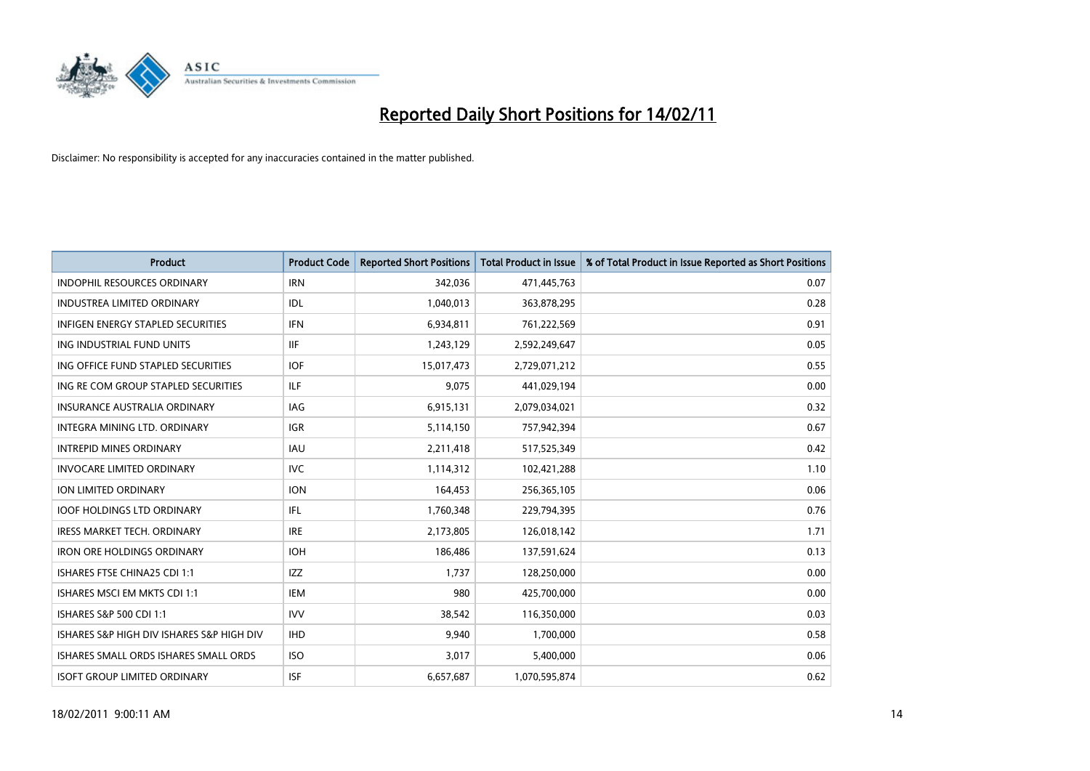

| <b>Product</b>                            | <b>Product Code</b> | <b>Reported Short Positions</b> | Total Product in Issue | % of Total Product in Issue Reported as Short Positions |
|-------------------------------------------|---------------------|---------------------------------|------------------------|---------------------------------------------------------|
| <b>INDOPHIL RESOURCES ORDINARY</b>        | <b>IRN</b>          | 342,036                         | 471,445,763            | 0.07                                                    |
| <b>INDUSTREA LIMITED ORDINARY</b>         | IDL                 | 1,040,013                       | 363,878,295            | 0.28                                                    |
| <b>INFIGEN ENERGY STAPLED SECURITIES</b>  | <b>IFN</b>          | 6,934,811                       | 761,222,569            | 0.91                                                    |
| ING INDUSTRIAL FUND UNITS                 | <b>IIF</b>          | 1,243,129                       | 2,592,249,647          | 0.05                                                    |
| ING OFFICE FUND STAPLED SECURITIES        | <b>IOF</b>          | 15,017,473                      | 2,729,071,212          | 0.55                                                    |
| ING RE COM GROUP STAPLED SECURITIES       | ILF.                | 9,075                           | 441,029,194            | 0.00                                                    |
| <b>INSURANCE AUSTRALIA ORDINARY</b>       | <b>IAG</b>          | 6,915,131                       | 2,079,034,021          | 0.32                                                    |
| <b>INTEGRA MINING LTD, ORDINARY</b>       | <b>IGR</b>          | 5,114,150                       | 757,942,394            | 0.67                                                    |
| <b>INTREPID MINES ORDINARY</b>            | <b>IAU</b>          | 2,211,418                       | 517,525,349            | 0.42                                                    |
| <b>INVOCARE LIMITED ORDINARY</b>          | IVC                 | 1,114,312                       | 102,421,288            | 1.10                                                    |
| ION LIMITED ORDINARY                      | <b>ION</b>          | 164,453                         | 256,365,105            | 0.06                                                    |
| <b>IOOF HOLDINGS LTD ORDINARY</b>         | IFL.                | 1,760,348                       | 229,794,395            | 0.76                                                    |
| <b>IRESS MARKET TECH. ORDINARY</b>        | <b>IRE</b>          | 2,173,805                       | 126,018,142            | 1.71                                                    |
| <b>IRON ORE HOLDINGS ORDINARY</b>         | <b>IOH</b>          | 186.486                         | 137,591,624            | 0.13                                                    |
| ISHARES FTSE CHINA25 CDI 1:1              | <b>IZZ</b>          | 1,737                           | 128,250,000            | 0.00                                                    |
| ISHARES MSCI EM MKTS CDI 1:1              | <b>IEM</b>          | 980                             | 425,700,000            | 0.00                                                    |
| ISHARES S&P 500 CDI 1:1                   | <b>IVV</b>          | 38,542                          | 116,350,000            | 0.03                                                    |
| ISHARES S&P HIGH DIV ISHARES S&P HIGH DIV | <b>IHD</b>          | 9,940                           | 1,700,000              | 0.58                                                    |
| ISHARES SMALL ORDS ISHARES SMALL ORDS     | <b>ISO</b>          | 3,017                           | 5,400,000              | 0.06                                                    |
| <b>ISOFT GROUP LIMITED ORDINARY</b>       | <b>ISF</b>          | 6,657,687                       | 1,070,595,874          | 0.62                                                    |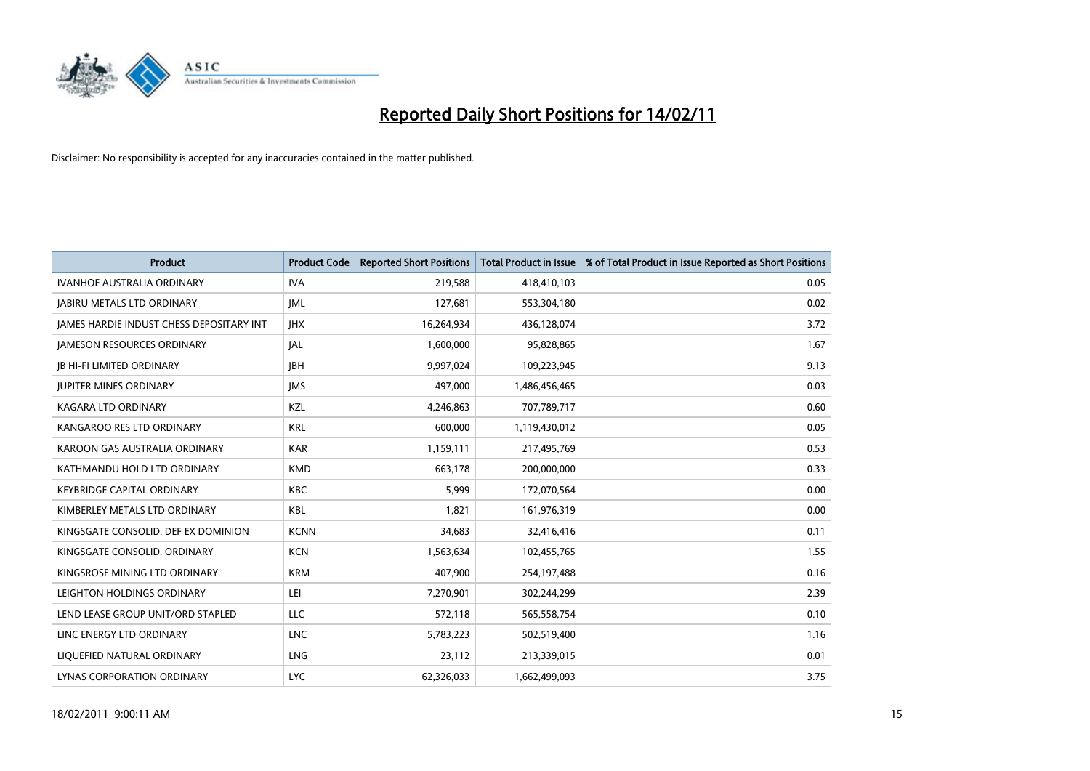

| Product                                         | <b>Product Code</b> | <b>Reported Short Positions</b> | Total Product in Issue | % of Total Product in Issue Reported as Short Positions |
|-------------------------------------------------|---------------------|---------------------------------|------------------------|---------------------------------------------------------|
| <b>IVANHOE AUSTRALIA ORDINARY</b>               | <b>IVA</b>          | 219,588                         | 418,410,103            | 0.05                                                    |
| <b>JABIRU METALS LTD ORDINARY</b>               | IML                 | 127,681                         | 553,304,180            | 0.02                                                    |
| <b>JAMES HARDIE INDUST CHESS DEPOSITARY INT</b> | <b>IHX</b>          | 16,264,934                      | 436,128,074            | 3.72                                                    |
| <b>JAMESON RESOURCES ORDINARY</b>               | <b>JAL</b>          | 1,600,000                       | 95,828,865             | 1.67                                                    |
| <b>IB HI-FI LIMITED ORDINARY</b>                | <b>IBH</b>          | 9,997,024                       | 109,223,945            | 9.13                                                    |
| <b>JUPITER MINES ORDINARY</b>                   | <b>IMS</b>          | 497,000                         | 1,486,456,465          | 0.03                                                    |
| KAGARA LTD ORDINARY                             | KZL                 | 4,246,863                       | 707,789,717            | 0.60                                                    |
| KANGAROO RES LTD ORDINARY                       | <b>KRL</b>          | 600,000                         | 1,119,430,012          | 0.05                                                    |
| KAROON GAS AUSTRALIA ORDINARY                   | <b>KAR</b>          | 1,159,111                       | 217,495,769            | 0.53                                                    |
| KATHMANDU HOLD LTD ORDINARY                     | <b>KMD</b>          | 663,178                         | 200,000,000            | 0.33                                                    |
| <b>KEYBRIDGE CAPITAL ORDINARY</b>               | <b>KBC</b>          | 5,999                           | 172,070,564            | 0.00                                                    |
| KIMBERLEY METALS LTD ORDINARY                   | <b>KBL</b>          | 1,821                           | 161,976,319            | 0.00                                                    |
| KINGSGATE CONSOLID. DEF EX DOMINION             | <b>KCNN</b>         | 34,683                          | 32,416,416             | 0.11                                                    |
| KINGSGATE CONSOLID. ORDINARY                    | <b>KCN</b>          | 1,563,634                       | 102,455,765            | 1.55                                                    |
| KINGSROSE MINING LTD ORDINARY                   | <b>KRM</b>          | 407,900                         | 254,197,488            | 0.16                                                    |
| LEIGHTON HOLDINGS ORDINARY                      | LEI                 | 7,270,901                       | 302,244,299            | 2.39                                                    |
| LEND LEASE GROUP UNIT/ORD STAPLED               | LLC                 | 572,118                         | 565,558,754            | 0.10                                                    |
| LINC ENERGY LTD ORDINARY                        | <b>LNC</b>          | 5,783,223                       | 502,519,400            | 1.16                                                    |
| LIOUEFIED NATURAL ORDINARY                      | <b>LNG</b>          | 23,112                          | 213,339,015            | 0.01                                                    |
| LYNAS CORPORATION ORDINARY                      | <b>LYC</b>          | 62,326,033                      | 1,662,499,093          | 3.75                                                    |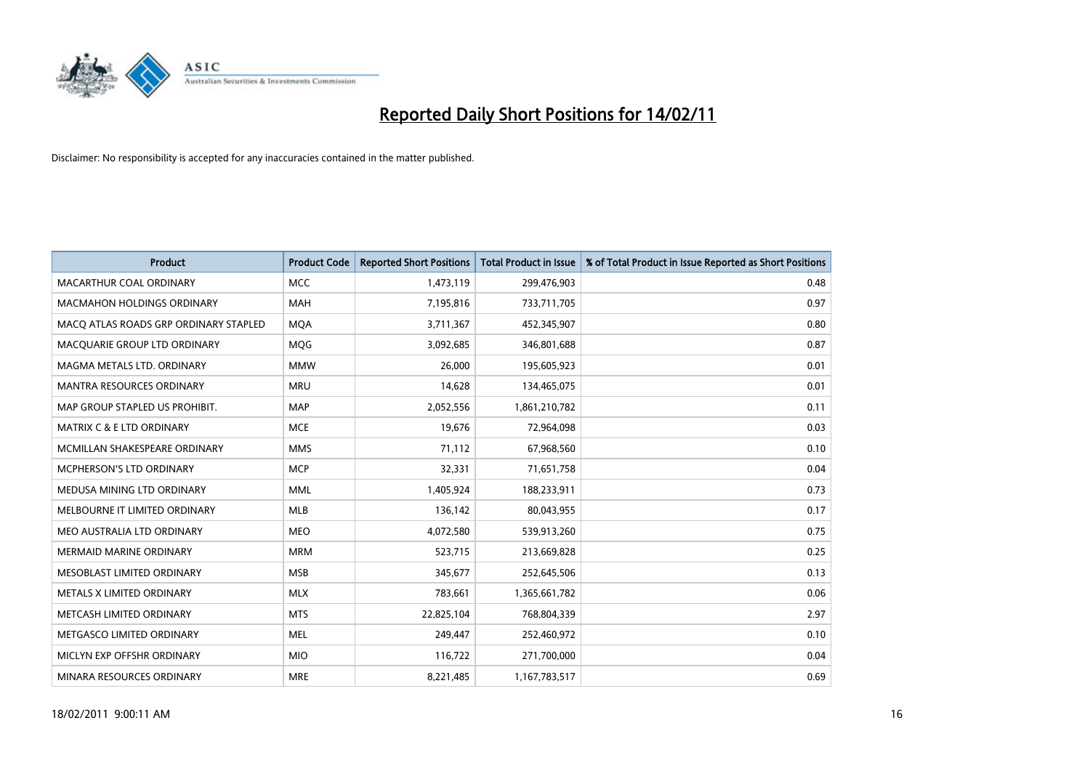

| Product                               | <b>Product Code</b> | <b>Reported Short Positions</b> | Total Product in Issue | % of Total Product in Issue Reported as Short Positions |
|---------------------------------------|---------------------|---------------------------------|------------------------|---------------------------------------------------------|
| <b>MACARTHUR COAL ORDINARY</b>        | <b>MCC</b>          | 1,473,119                       | 299,476,903            | 0.48                                                    |
| MACMAHON HOLDINGS ORDINARY            | <b>MAH</b>          | 7,195,816                       | 733,711,705            | 0.97                                                    |
| MACQ ATLAS ROADS GRP ORDINARY STAPLED | <b>MQA</b>          | 3,711,367                       | 452,345,907            | 0.80                                                    |
| MACQUARIE GROUP LTD ORDINARY          | MQG                 | 3,092,685                       | 346,801,688            | 0.87                                                    |
| MAGMA METALS LTD. ORDINARY            | <b>MMW</b>          | 26,000                          | 195,605,923            | 0.01                                                    |
| <b>MANTRA RESOURCES ORDINARY</b>      | <b>MRU</b>          | 14,628                          | 134,465,075            | 0.01                                                    |
| MAP GROUP STAPLED US PROHIBIT.        | <b>MAP</b>          | 2,052,556                       | 1,861,210,782          | 0.11                                                    |
| MATRIX C & E LTD ORDINARY             | <b>MCE</b>          | 19,676                          | 72,964,098             | 0.03                                                    |
| MCMILLAN SHAKESPEARE ORDINARY         | <b>MMS</b>          | 71,112                          | 67,968,560             | 0.10                                                    |
| <b>MCPHERSON'S LTD ORDINARY</b>       | <b>MCP</b>          | 32,331                          | 71,651,758             | 0.04                                                    |
| MEDUSA MINING LTD ORDINARY            | <b>MML</b>          | 1,405,924                       | 188,233,911            | 0.73                                                    |
| MELBOURNE IT LIMITED ORDINARY         | MLB                 | 136,142                         | 80,043,955             | 0.17                                                    |
| MEO AUSTRALIA LTD ORDINARY            | <b>MEO</b>          | 4,072,580                       | 539,913,260            | 0.75                                                    |
| <b>MERMAID MARINE ORDINARY</b>        | <b>MRM</b>          | 523,715                         | 213,669,828            | 0.25                                                    |
| MESOBLAST LIMITED ORDINARY            | <b>MSB</b>          | 345,677                         | 252,645,506            | 0.13                                                    |
| METALS X LIMITED ORDINARY             | <b>MLX</b>          | 783,661                         | 1,365,661,782          | 0.06                                                    |
| METCASH LIMITED ORDINARY              | <b>MTS</b>          | 22,825,104                      | 768,804,339            | 2.97                                                    |
| METGASCO LIMITED ORDINARY             | <b>MEL</b>          | 249,447                         | 252,460,972            | 0.10                                                    |
| MICLYN EXP OFFSHR ORDINARY            | <b>MIO</b>          | 116,722                         | 271,700,000            | 0.04                                                    |
| MINARA RESOURCES ORDINARY             | <b>MRE</b>          | 8,221,485                       | 1,167,783,517          | 0.69                                                    |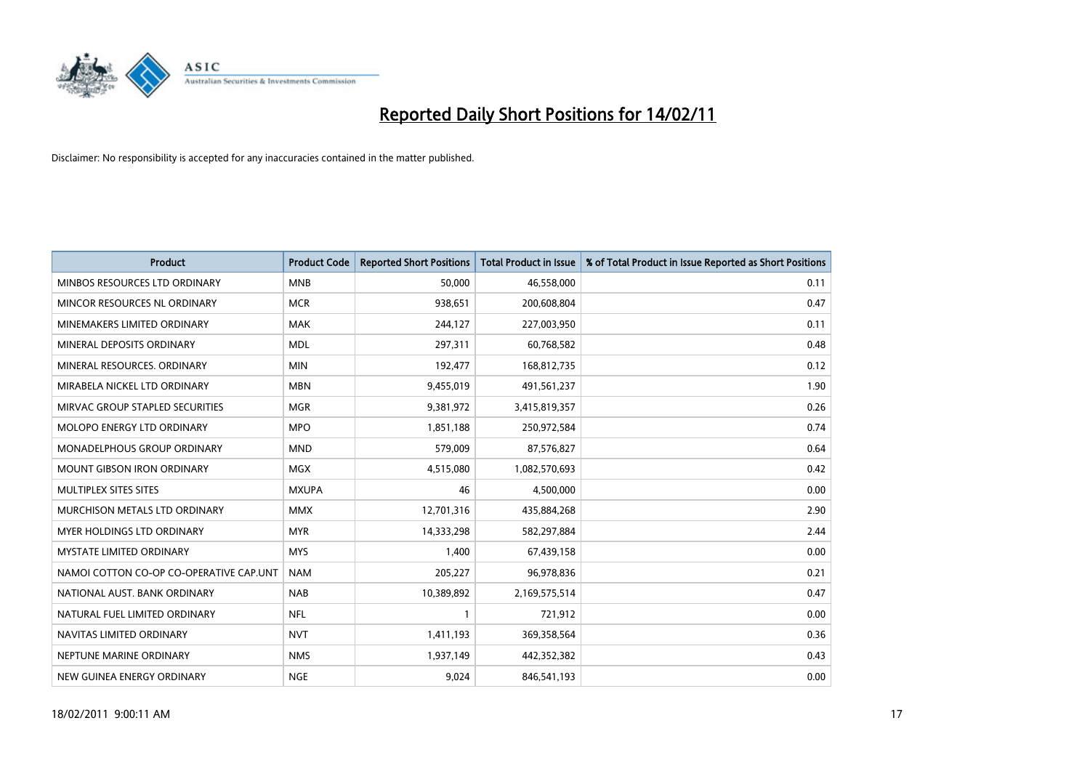

| <b>Product</b>                          | <b>Product Code</b> | <b>Reported Short Positions</b> | <b>Total Product in Issue</b> | % of Total Product in Issue Reported as Short Positions |
|-----------------------------------------|---------------------|---------------------------------|-------------------------------|---------------------------------------------------------|
| MINBOS RESOURCES LTD ORDINARY           | <b>MNB</b>          | 50,000                          | 46,558,000                    | 0.11                                                    |
| MINCOR RESOURCES NL ORDINARY            | <b>MCR</b>          | 938,651                         | 200,608,804                   | 0.47                                                    |
| MINEMAKERS LIMITED ORDINARY             | <b>MAK</b>          | 244,127                         | 227,003,950                   | 0.11                                                    |
| MINERAL DEPOSITS ORDINARY               | <b>MDL</b>          | 297,311                         | 60,768,582                    | 0.48                                                    |
| MINERAL RESOURCES, ORDINARY             | <b>MIN</b>          | 192,477                         | 168,812,735                   | 0.12                                                    |
| MIRABELA NICKEL LTD ORDINARY            | <b>MBN</b>          | 9,455,019                       | 491,561,237                   | 1.90                                                    |
| MIRVAC GROUP STAPLED SECURITIES         | <b>MGR</b>          | 9,381,972                       | 3,415,819,357                 | 0.26                                                    |
| MOLOPO ENERGY LTD ORDINARY              | <b>MPO</b>          | 1,851,188                       | 250,972,584                   | 0.74                                                    |
| MONADELPHOUS GROUP ORDINARY             | <b>MND</b>          | 579,009                         | 87,576,827                    | 0.64                                                    |
| <b>MOUNT GIBSON IRON ORDINARY</b>       | <b>MGX</b>          | 4,515,080                       | 1,082,570,693                 | 0.42                                                    |
| MULTIPLEX SITES SITES                   | <b>MXUPA</b>        | 46                              | 4,500,000                     | 0.00                                                    |
| MURCHISON METALS LTD ORDINARY           | <b>MMX</b>          | 12,701,316                      | 435,884,268                   | 2.90                                                    |
| <b>MYER HOLDINGS LTD ORDINARY</b>       | <b>MYR</b>          | 14,333,298                      | 582,297,884                   | 2.44                                                    |
| <b>MYSTATE LIMITED ORDINARY</b>         | <b>MYS</b>          | 1,400                           | 67,439,158                    | 0.00                                                    |
| NAMOI COTTON CO-OP CO-OPERATIVE CAP.UNT | <b>NAM</b>          | 205,227                         | 96,978,836                    | 0.21                                                    |
| NATIONAL AUST, BANK ORDINARY            | <b>NAB</b>          | 10,389,892                      | 2,169,575,514                 | 0.47                                                    |
| NATURAL FUEL LIMITED ORDINARY           | <b>NFL</b>          |                                 | 721,912                       | 0.00                                                    |
| NAVITAS LIMITED ORDINARY                | <b>NVT</b>          | 1,411,193                       | 369,358,564                   | 0.36                                                    |
| NEPTUNE MARINE ORDINARY                 | <b>NMS</b>          | 1,937,149                       | 442,352,382                   | 0.43                                                    |
| NEW GUINEA ENERGY ORDINARY              | <b>NGE</b>          | 9,024                           | 846,541,193                   | 0.00                                                    |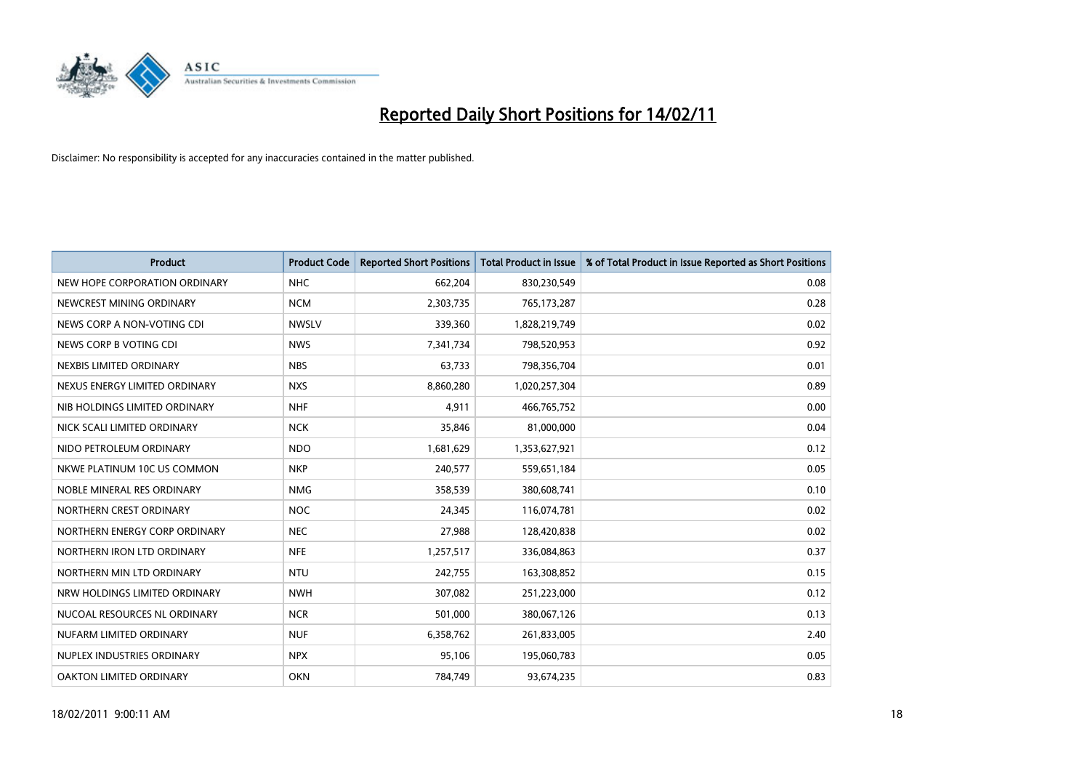

| Product                       | <b>Product Code</b> | <b>Reported Short Positions</b> | <b>Total Product in Issue</b> | % of Total Product in Issue Reported as Short Positions |
|-------------------------------|---------------------|---------------------------------|-------------------------------|---------------------------------------------------------|
| NEW HOPE CORPORATION ORDINARY | <b>NHC</b>          | 662,204                         | 830,230,549                   | 0.08                                                    |
| NEWCREST MINING ORDINARY      | <b>NCM</b>          | 2,303,735                       | 765,173,287                   | 0.28                                                    |
| NEWS CORP A NON-VOTING CDI    | <b>NWSLV</b>        | 339,360                         | 1,828,219,749                 | 0.02                                                    |
| NEWS CORP B VOTING CDI        | <b>NWS</b>          | 7,341,734                       | 798,520,953                   | 0.92                                                    |
| NEXBIS LIMITED ORDINARY       | <b>NBS</b>          | 63,733                          | 798,356,704                   | 0.01                                                    |
| NEXUS ENERGY LIMITED ORDINARY | <b>NXS</b>          | 8,860,280                       | 1,020,257,304                 | 0.89                                                    |
| NIB HOLDINGS LIMITED ORDINARY | <b>NHF</b>          | 4,911                           | 466,765,752                   | 0.00                                                    |
| NICK SCALI LIMITED ORDINARY   | <b>NCK</b>          | 35,846                          | 81,000,000                    | 0.04                                                    |
| NIDO PETROLEUM ORDINARY       | <b>NDO</b>          | 1,681,629                       | 1,353,627,921                 | 0.12                                                    |
| NKWE PLATINUM 10C US COMMON   | <b>NKP</b>          | 240,577                         | 559,651,184                   | 0.05                                                    |
| NOBLE MINERAL RES ORDINARY    | <b>NMG</b>          | 358,539                         | 380,608,741                   | 0.10                                                    |
| NORTHERN CREST ORDINARY       | <b>NOC</b>          | 24,345                          | 116,074,781                   | 0.02                                                    |
| NORTHERN ENERGY CORP ORDINARY | <b>NEC</b>          | 27,988                          | 128,420,838                   | 0.02                                                    |
| NORTHERN IRON LTD ORDINARY    | <b>NFE</b>          | 1,257,517                       | 336,084,863                   | 0.37                                                    |
| NORTHERN MIN LTD ORDINARY     | <b>NTU</b>          | 242,755                         | 163,308,852                   | 0.15                                                    |
| NRW HOLDINGS LIMITED ORDINARY | <b>NWH</b>          | 307,082                         | 251,223,000                   | 0.12                                                    |
| NUCOAL RESOURCES NL ORDINARY  | <b>NCR</b>          | 501,000                         | 380,067,126                   | 0.13                                                    |
| NUFARM LIMITED ORDINARY       | <b>NUF</b>          | 6,358,762                       | 261,833,005                   | 2.40                                                    |
| NUPLEX INDUSTRIES ORDINARY    | <b>NPX</b>          | 95,106                          | 195,060,783                   | 0.05                                                    |
| OAKTON LIMITED ORDINARY       | <b>OKN</b>          | 784,749                         | 93,674,235                    | 0.83                                                    |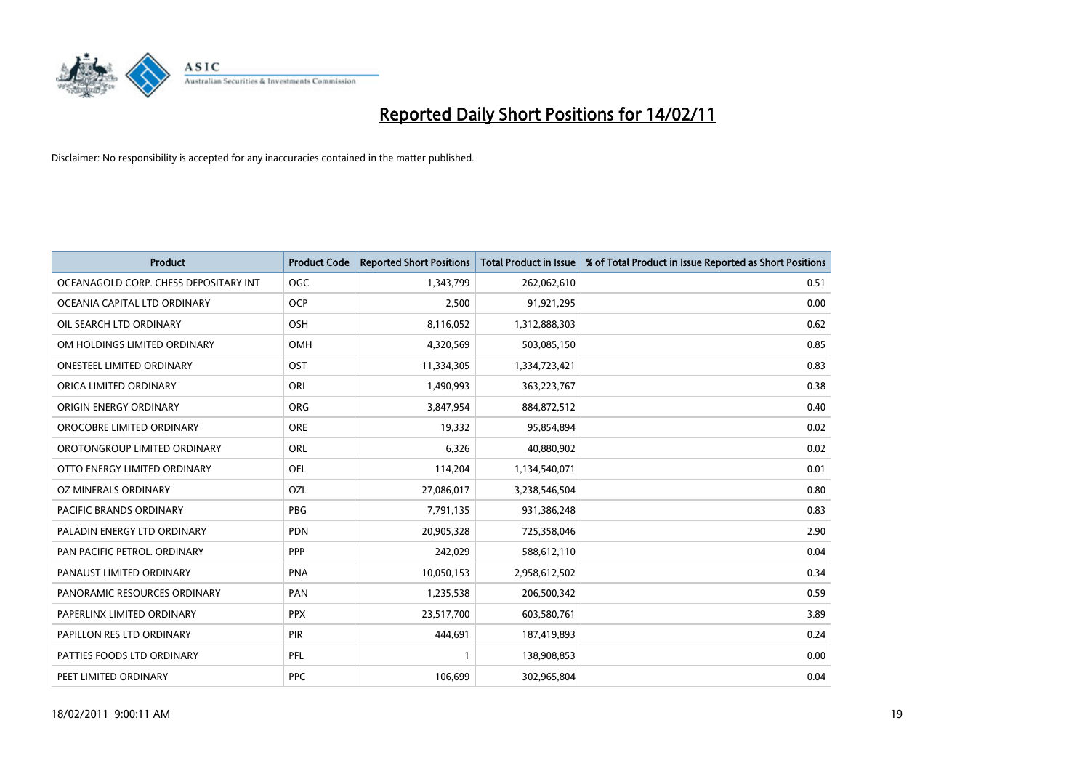

| Product                               | <b>Product Code</b> | <b>Reported Short Positions</b> | <b>Total Product in Issue</b> | % of Total Product in Issue Reported as Short Positions |
|---------------------------------------|---------------------|---------------------------------|-------------------------------|---------------------------------------------------------|
| OCEANAGOLD CORP. CHESS DEPOSITARY INT | <b>OGC</b>          | 1,343,799                       | 262,062,610                   | 0.51                                                    |
| OCEANIA CAPITAL LTD ORDINARY          | <b>OCP</b>          | 2,500                           | 91,921,295                    | 0.00                                                    |
| OIL SEARCH LTD ORDINARY               | OSH                 | 8,116,052                       | 1,312,888,303                 | 0.62                                                    |
| OM HOLDINGS LIMITED ORDINARY          | <b>OMH</b>          | 4,320,569                       | 503,085,150                   | 0.85                                                    |
| <b>ONESTEEL LIMITED ORDINARY</b>      | OST                 | 11,334,305                      | 1,334,723,421                 | 0.83                                                    |
| ORICA LIMITED ORDINARY                | ORI                 | 1,490,993                       | 363,223,767                   | 0.38                                                    |
| ORIGIN ENERGY ORDINARY                | ORG                 | 3,847,954                       | 884,872,512                   | 0.40                                                    |
| OROCOBRE LIMITED ORDINARY             | <b>ORE</b>          | 19,332                          | 95,854,894                    | 0.02                                                    |
| OROTONGROUP LIMITED ORDINARY          | <b>ORL</b>          | 6,326                           | 40,880,902                    | 0.02                                                    |
| OTTO ENERGY LIMITED ORDINARY          | OEL                 | 114,204                         | 1,134,540,071                 | 0.01                                                    |
| OZ MINERALS ORDINARY                  | OZL                 | 27,086,017                      | 3,238,546,504                 | 0.80                                                    |
| PACIFIC BRANDS ORDINARY               | <b>PBG</b>          | 7,791,135                       | 931,386,248                   | 0.83                                                    |
| PALADIN ENERGY LTD ORDINARY           | <b>PDN</b>          | 20,905,328                      | 725,358,046                   | 2.90                                                    |
| PAN PACIFIC PETROL. ORDINARY          | PPP                 | 242,029                         | 588,612,110                   | 0.04                                                    |
| PANAUST LIMITED ORDINARY              | <b>PNA</b>          | 10,050,153                      | 2,958,612,502                 | 0.34                                                    |
| PANORAMIC RESOURCES ORDINARY          | PAN                 | 1,235,538                       | 206,500,342                   | 0.59                                                    |
| PAPERLINX LIMITED ORDINARY            | <b>PPX</b>          | 23,517,700                      | 603,580,761                   | 3.89                                                    |
| PAPILLON RES LTD ORDINARY             | PIR                 | 444,691                         | 187,419,893                   | 0.24                                                    |
| PATTIES FOODS LTD ORDINARY            | PFL                 |                                 | 138,908,853                   | 0.00                                                    |
| PEET LIMITED ORDINARY                 | <b>PPC</b>          | 106,699                         | 302,965,804                   | 0.04                                                    |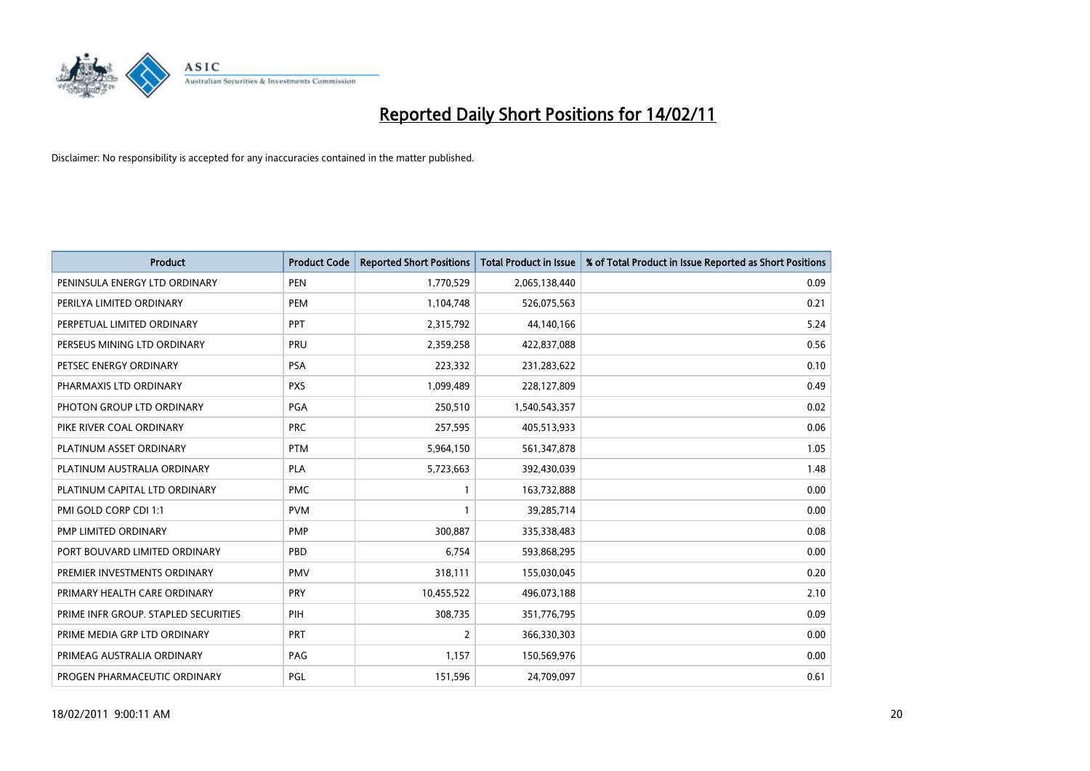

| <b>Product</b>                       | <b>Product Code</b> | <b>Reported Short Positions</b> | Total Product in Issue | % of Total Product in Issue Reported as Short Positions |
|--------------------------------------|---------------------|---------------------------------|------------------------|---------------------------------------------------------|
| PENINSULA ENERGY LTD ORDINARY        | <b>PEN</b>          | 1,770,529                       | 2,065,138,440          | 0.09                                                    |
| PERILYA LIMITED ORDINARY             | PEM                 | 1,104,748                       | 526,075,563            | 0.21                                                    |
| PERPETUAL LIMITED ORDINARY           | PPT                 | 2,315,792                       | 44,140,166             | 5.24                                                    |
| PERSEUS MINING LTD ORDINARY          | PRU                 | 2,359,258                       | 422,837,088            | 0.56                                                    |
| PETSEC ENERGY ORDINARY               | PSA                 | 223,332                         | 231,283,622            | 0.10                                                    |
| PHARMAXIS LTD ORDINARY               | <b>PXS</b>          | 1,099,489                       | 228,127,809            | 0.49                                                    |
| PHOTON GROUP LTD ORDINARY            | <b>PGA</b>          | 250,510                         | 1,540,543,357          | 0.02                                                    |
| PIKE RIVER COAL ORDINARY             | <b>PRC</b>          | 257,595                         | 405,513,933            | 0.06                                                    |
| PLATINUM ASSET ORDINARY              | <b>PTM</b>          | 5,964,150                       | 561,347,878            | 1.05                                                    |
| PLATINUM AUSTRALIA ORDINARY          | <b>PLA</b>          | 5,723,663                       | 392,430,039            | 1.48                                                    |
| PLATINUM CAPITAL LTD ORDINARY        | <b>PMC</b>          |                                 | 163,732,888            | 0.00                                                    |
| PMI GOLD CORP CDI 1:1                | <b>PVM</b>          |                                 | 39,285,714             | 0.00                                                    |
| PMP LIMITED ORDINARY                 | <b>PMP</b>          | 300,887                         | 335,338,483            | 0.08                                                    |
| PORT BOUVARD LIMITED ORDINARY        | PBD                 | 6.754                           | 593,868,295            | 0.00                                                    |
| PREMIER INVESTMENTS ORDINARY         | <b>PMV</b>          | 318,111                         | 155,030,045            | 0.20                                                    |
| PRIMARY HEALTH CARE ORDINARY         | PRY                 | 10,455,522                      | 496,073,188            | 2.10                                                    |
| PRIME INFR GROUP. STAPLED SECURITIES | PIH                 | 308,735                         | 351,776,795            | 0.09                                                    |
| PRIME MEDIA GRP LTD ORDINARY         | PRT                 | $\overline{2}$                  | 366,330,303            | 0.00                                                    |
| PRIMEAG AUSTRALIA ORDINARY           | PAG                 | 1,157                           | 150,569,976            | 0.00                                                    |
| PROGEN PHARMACEUTIC ORDINARY         | PGL                 | 151,596                         | 24,709,097             | 0.61                                                    |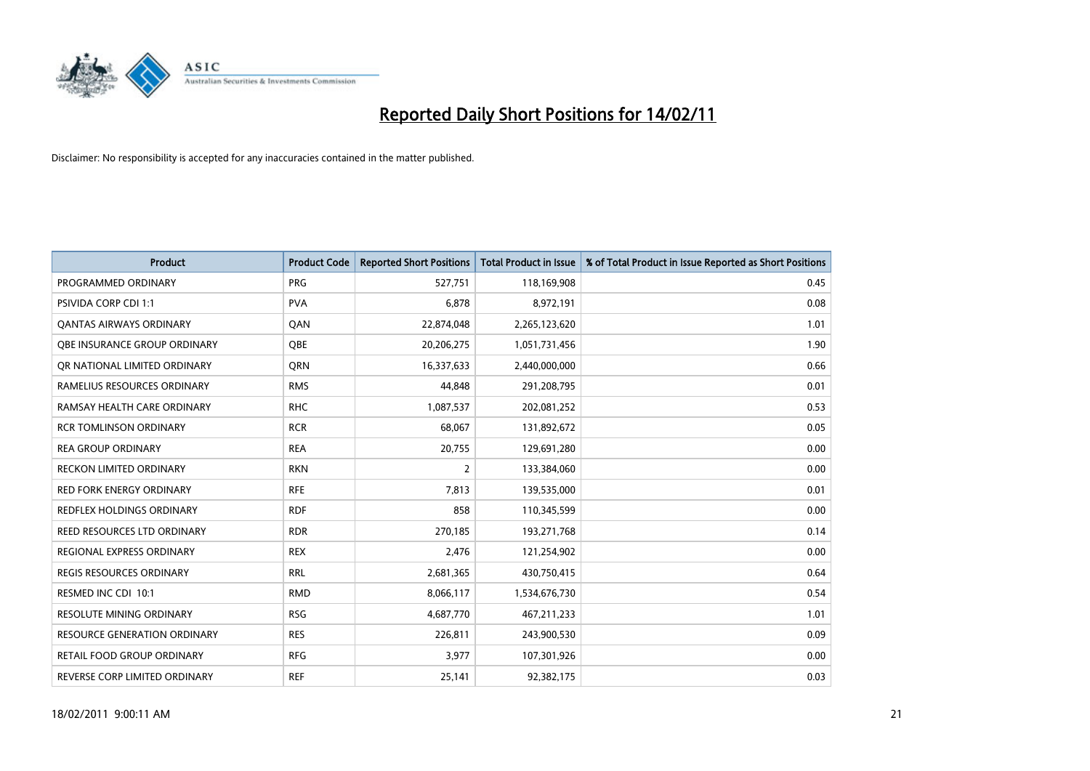

| Product                           | <b>Product Code</b> | <b>Reported Short Positions</b> | <b>Total Product in Issue</b> | % of Total Product in Issue Reported as Short Positions |
|-----------------------------------|---------------------|---------------------------------|-------------------------------|---------------------------------------------------------|
| PROGRAMMED ORDINARY               | <b>PRG</b>          | 527,751                         | 118,169,908                   | 0.45                                                    |
| PSIVIDA CORP CDI 1:1              | <b>PVA</b>          | 6,878                           | 8,972,191                     | 0.08                                                    |
| <b>QANTAS AIRWAYS ORDINARY</b>    | QAN                 | 22,874,048                      | 2,265,123,620                 | 1.01                                                    |
| OBE INSURANCE GROUP ORDINARY      | <b>OBE</b>          | 20,206,275                      | 1,051,731,456                 | 1.90                                                    |
| OR NATIONAL LIMITED ORDINARY      | <b>ORN</b>          | 16,337,633                      | 2,440,000,000                 | 0.66                                                    |
| RAMELIUS RESOURCES ORDINARY       | <b>RMS</b>          | 44,848                          | 291,208,795                   | 0.01                                                    |
| RAMSAY HEALTH CARE ORDINARY       | <b>RHC</b>          | 1,087,537                       | 202,081,252                   | 0.53                                                    |
| <b>RCR TOMLINSON ORDINARY</b>     | <b>RCR</b>          | 68,067                          | 131,892,672                   | 0.05                                                    |
| <b>REA GROUP ORDINARY</b>         | <b>REA</b>          | 20,755                          | 129,691,280                   | 0.00                                                    |
| <b>RECKON LIMITED ORDINARY</b>    | <b>RKN</b>          | $\overline{2}$                  | 133,384,060                   | 0.00                                                    |
| RED FORK ENERGY ORDINARY          | <b>RFE</b>          | 7,813                           | 139,535,000                   | 0.01                                                    |
| REDFLEX HOLDINGS ORDINARY         | <b>RDF</b>          | 858                             | 110,345,599                   | 0.00                                                    |
| REED RESOURCES LTD ORDINARY       | <b>RDR</b>          | 270,185                         | 193,271,768                   | 0.14                                                    |
| <b>REGIONAL EXPRESS ORDINARY</b>  | <b>REX</b>          | 2,476                           | 121,254,902                   | 0.00                                                    |
| <b>REGIS RESOURCES ORDINARY</b>   | <b>RRL</b>          | 2,681,365                       | 430,750,415                   | 0.64                                                    |
| RESMED INC CDI 10:1               | <b>RMD</b>          | 8,066,117                       | 1,534,676,730                 | 0.54                                                    |
| <b>RESOLUTE MINING ORDINARY</b>   | <b>RSG</b>          | 4,687,770                       | 467,211,233                   | 1.01                                                    |
| RESOURCE GENERATION ORDINARY      | <b>RES</b>          | 226,811                         | 243,900,530                   | 0.09                                                    |
| <b>RETAIL FOOD GROUP ORDINARY</b> | <b>RFG</b>          | 3,977                           | 107,301,926                   | 0.00                                                    |
| REVERSE CORP LIMITED ORDINARY     | <b>REF</b>          | 25,141                          | 92,382,175                    | 0.03                                                    |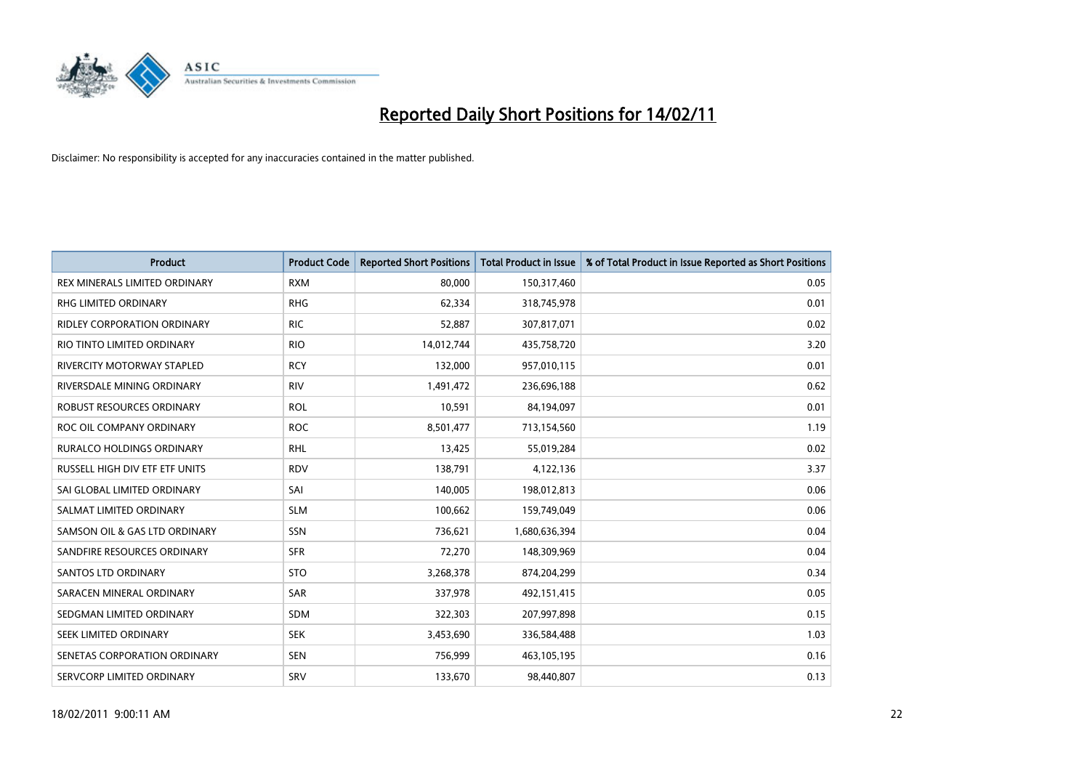

| Product                              | <b>Product Code</b> | <b>Reported Short Positions</b> | Total Product in Issue | % of Total Product in Issue Reported as Short Positions |
|--------------------------------------|---------------------|---------------------------------|------------------------|---------------------------------------------------------|
| <b>REX MINERALS LIMITED ORDINARY</b> | <b>RXM</b>          | 80,000                          | 150,317,460            | 0.05                                                    |
| RHG LIMITED ORDINARY                 | <b>RHG</b>          | 62,334                          | 318,745,978            | 0.01                                                    |
| <b>RIDLEY CORPORATION ORDINARY</b>   | <b>RIC</b>          | 52,887                          | 307,817,071            | 0.02                                                    |
| RIO TINTO LIMITED ORDINARY           | <b>RIO</b>          | 14,012,744                      | 435,758,720            | 3.20                                                    |
| <b>RIVERCITY MOTORWAY STAPLED</b>    | <b>RCY</b>          | 132,000                         | 957,010,115            | 0.01                                                    |
| RIVERSDALE MINING ORDINARY           | <b>RIV</b>          | 1,491,472                       | 236,696,188            | 0.62                                                    |
| <b>ROBUST RESOURCES ORDINARY</b>     | <b>ROL</b>          | 10,591                          | 84,194,097             | 0.01                                                    |
| ROC OIL COMPANY ORDINARY             | <b>ROC</b>          | 8,501,477                       | 713,154,560            | 1.19                                                    |
| <b>RURALCO HOLDINGS ORDINARY</b>     | <b>RHL</b>          | 13,425                          | 55,019,284             | 0.02                                                    |
| RUSSELL HIGH DIV ETF ETF UNITS       | <b>RDV</b>          | 138,791                         | 4,122,136              | 3.37                                                    |
| SAI GLOBAL LIMITED ORDINARY          | SAI                 | 140,005                         | 198,012,813            | 0.06                                                    |
| SALMAT LIMITED ORDINARY              | <b>SLM</b>          | 100,662                         | 159,749,049            | 0.06                                                    |
| SAMSON OIL & GAS LTD ORDINARY        | SSN                 | 736,621                         | 1,680,636,394          | 0.04                                                    |
| SANDFIRE RESOURCES ORDINARY          | <b>SFR</b>          | 72,270                          | 148,309,969            | 0.04                                                    |
| SANTOS LTD ORDINARY                  | <b>STO</b>          | 3,268,378                       | 874,204,299            | 0.34                                                    |
| SARACEN MINERAL ORDINARY             | <b>SAR</b>          | 337,978                         | 492,151,415            | 0.05                                                    |
| SEDGMAN LIMITED ORDINARY             | <b>SDM</b>          | 322,303                         | 207,997,898            | 0.15                                                    |
| SEEK LIMITED ORDINARY                | <b>SEK</b>          | 3,453,690                       | 336,584,488            | 1.03                                                    |
| SENETAS CORPORATION ORDINARY         | <b>SEN</b>          | 756,999                         | 463,105,195            | 0.16                                                    |
| SERVCORP LIMITED ORDINARY            | SRV                 | 133,670                         | 98,440,807             | 0.13                                                    |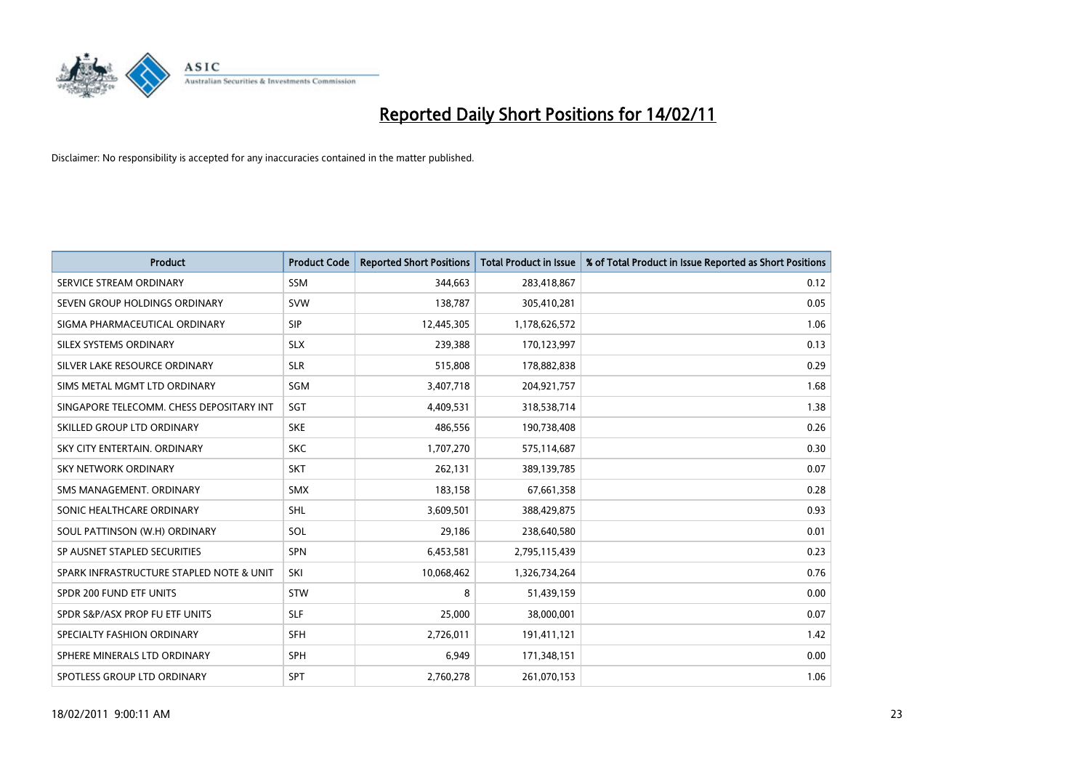

| <b>Product</b>                           | <b>Product Code</b> | <b>Reported Short Positions</b> | Total Product in Issue | % of Total Product in Issue Reported as Short Positions |
|------------------------------------------|---------------------|---------------------------------|------------------------|---------------------------------------------------------|
| SERVICE STREAM ORDINARY                  | <b>SSM</b>          | 344,663                         | 283,418,867            | 0.12                                                    |
| SEVEN GROUP HOLDINGS ORDINARY            | <b>SVW</b>          | 138,787                         | 305,410,281            | 0.05                                                    |
| SIGMA PHARMACEUTICAL ORDINARY            | <b>SIP</b>          | 12,445,305                      | 1,178,626,572          | 1.06                                                    |
| SILEX SYSTEMS ORDINARY                   | <b>SLX</b>          | 239,388                         | 170,123,997            | 0.13                                                    |
| SILVER LAKE RESOURCE ORDINARY            | <b>SLR</b>          | 515,808                         | 178,882,838            | 0.29                                                    |
| SIMS METAL MGMT LTD ORDINARY             | SGM                 | 3,407,718                       | 204,921,757            | 1.68                                                    |
| SINGAPORE TELECOMM. CHESS DEPOSITARY INT | SGT                 | 4,409,531                       | 318,538,714            | 1.38                                                    |
| SKILLED GROUP LTD ORDINARY               | <b>SKE</b>          | 486,556                         | 190,738,408            | 0.26                                                    |
| SKY CITY ENTERTAIN. ORDINARY             | <b>SKC</b>          | 1,707,270                       | 575,114,687            | 0.30                                                    |
| <b>SKY NETWORK ORDINARY</b>              | <b>SKT</b>          | 262,131                         | 389,139,785            | 0.07                                                    |
| SMS MANAGEMENT, ORDINARY                 | <b>SMX</b>          | 183,158                         | 67,661,358             | 0.28                                                    |
| SONIC HEALTHCARE ORDINARY                | <b>SHL</b>          | 3,609,501                       | 388,429,875            | 0.93                                                    |
| SOUL PATTINSON (W.H) ORDINARY            | SOL                 | 29,186                          | 238,640,580            | 0.01                                                    |
| SP AUSNET STAPLED SECURITIES             | <b>SPN</b>          | 6,453,581                       | 2,795,115,439          | 0.23                                                    |
| SPARK INFRASTRUCTURE STAPLED NOTE & UNIT | SKI                 | 10,068,462                      | 1,326,734,264          | 0.76                                                    |
| SPDR 200 FUND ETF UNITS                  | <b>STW</b>          | 8                               | 51,439,159             | 0.00                                                    |
| SPDR S&P/ASX PROP FU ETF UNITS           | <b>SLF</b>          | 25,000                          | 38,000,001             | 0.07                                                    |
| SPECIALTY FASHION ORDINARY               | <b>SFH</b>          | 2,726,011                       | 191,411,121            | 1.42                                                    |
| SPHERE MINERALS LTD ORDINARY             | <b>SPH</b>          | 6,949                           | 171,348,151            | 0.00                                                    |
| SPOTLESS GROUP LTD ORDINARY              | <b>SPT</b>          | 2,760,278                       | 261,070,153            | 1.06                                                    |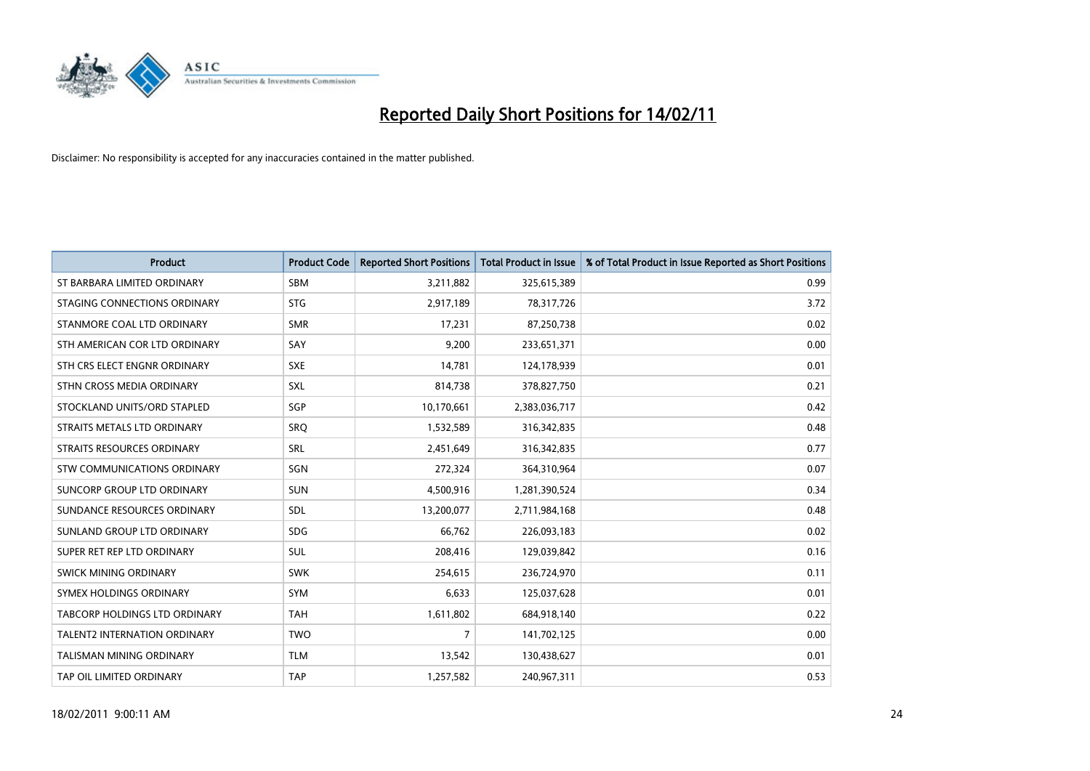

| <b>Product</b>                  | <b>Product Code</b> | <b>Reported Short Positions</b> | <b>Total Product in Issue</b> | % of Total Product in Issue Reported as Short Positions |
|---------------------------------|---------------------|---------------------------------|-------------------------------|---------------------------------------------------------|
| ST BARBARA LIMITED ORDINARY     | <b>SBM</b>          | 3,211,882                       | 325,615,389                   | 0.99                                                    |
| STAGING CONNECTIONS ORDINARY    | <b>STG</b>          | 2,917,189                       | 78,317,726                    | 3.72                                                    |
| STANMORE COAL LTD ORDINARY      | <b>SMR</b>          | 17,231                          | 87,250,738                    | 0.02                                                    |
| STH AMERICAN COR LTD ORDINARY   | SAY                 | 9,200                           | 233,651,371                   | 0.00                                                    |
| STH CRS ELECT ENGNR ORDINARY    | <b>SXE</b>          | 14,781                          | 124,178,939                   | 0.01                                                    |
| STHN CROSS MEDIA ORDINARY       | <b>SXL</b>          | 814,738                         | 378,827,750                   | 0.21                                                    |
| STOCKLAND UNITS/ORD STAPLED     | SGP                 | 10,170,661                      | 2,383,036,717                 | 0.42                                                    |
| STRAITS METALS LTD ORDINARY     | SRO                 | 1,532,589                       | 316, 342, 835                 | 0.48                                                    |
| STRAITS RESOURCES ORDINARY      | SRL                 | 2,451,649                       | 316, 342, 835                 | 0.77                                                    |
| STW COMMUNICATIONS ORDINARY     | SGN                 | 272,324                         | 364,310,964                   | 0.07                                                    |
| SUNCORP GROUP LTD ORDINARY      | <b>SUN</b>          | 4,500,916                       | 1,281,390,524                 | 0.34                                                    |
| SUNDANCE RESOURCES ORDINARY     | SDL                 | 13,200,077                      | 2,711,984,168                 | 0.48                                                    |
| SUNLAND GROUP LTD ORDINARY      | <b>SDG</b>          | 66,762                          | 226,093,183                   | 0.02                                                    |
| SUPER RET REP LTD ORDINARY      | SUL                 | 208,416                         | 129,039,842                   | 0.16                                                    |
| SWICK MINING ORDINARY           | <b>SWK</b>          | 254,615                         | 236,724,970                   | 0.11                                                    |
| SYMEX HOLDINGS ORDINARY         | <b>SYM</b>          | 6,633                           | 125,037,628                   | 0.01                                                    |
| TABCORP HOLDINGS LTD ORDINARY   | <b>TAH</b>          | 1,611,802                       | 684,918,140                   | 0.22                                                    |
| TALENT2 INTERNATION ORDINARY    | <b>TWO</b>          | 7                               | 141,702,125                   | 0.00                                                    |
| <b>TALISMAN MINING ORDINARY</b> | <b>TLM</b>          | 13,542                          | 130,438,627                   | 0.01                                                    |
| TAP OIL LIMITED ORDINARY        | <b>TAP</b>          | 1,257,582                       | 240,967,311                   | 0.53                                                    |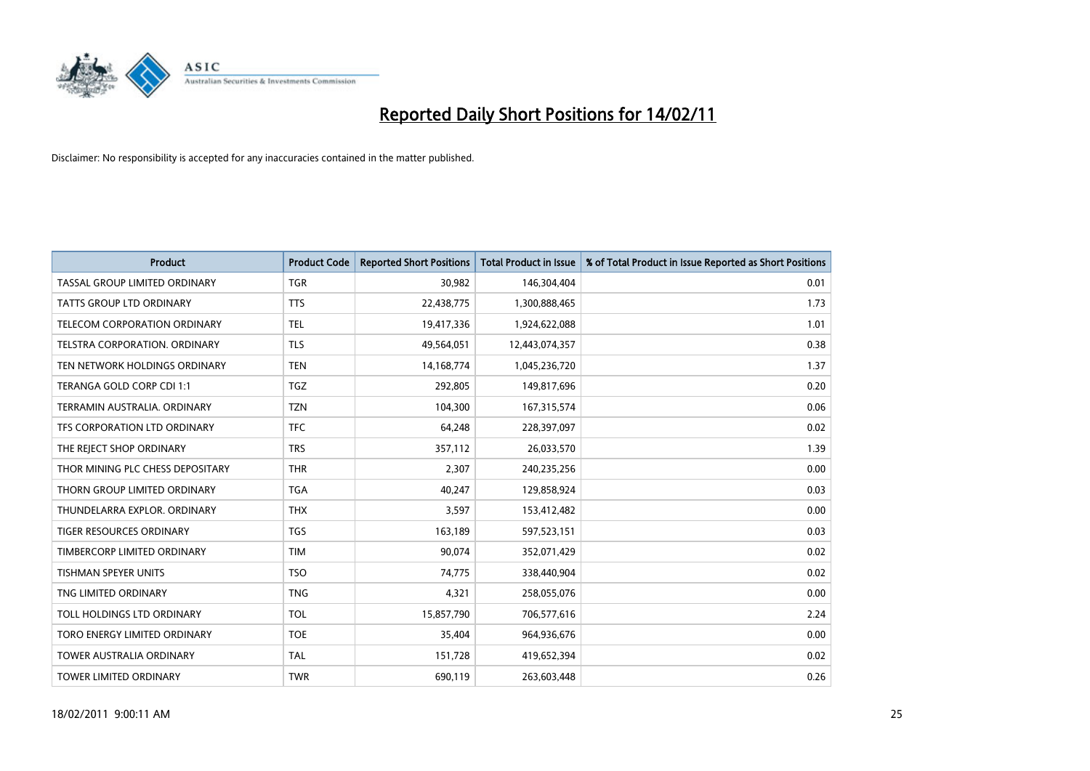

| <b>Product</b>                       | <b>Product Code</b> | <b>Reported Short Positions</b> | <b>Total Product in Issue</b> | % of Total Product in Issue Reported as Short Positions |
|--------------------------------------|---------------------|---------------------------------|-------------------------------|---------------------------------------------------------|
| <b>TASSAL GROUP LIMITED ORDINARY</b> | <b>TGR</b>          | 30,982                          | 146,304,404                   | 0.01                                                    |
| TATTS GROUP LTD ORDINARY             | <b>TTS</b>          | 22,438,775                      | 1,300,888,465                 | 1.73                                                    |
| <b>TELECOM CORPORATION ORDINARY</b>  | <b>TEL</b>          | 19,417,336                      | 1,924,622,088                 | 1.01                                                    |
| TELSTRA CORPORATION. ORDINARY        | <b>TLS</b>          | 49,564,051                      | 12,443,074,357                | 0.38                                                    |
| TEN NETWORK HOLDINGS ORDINARY        | <b>TEN</b>          | 14,168,774                      | 1,045,236,720                 | 1.37                                                    |
| TERANGA GOLD CORP CDI 1:1            | <b>TGZ</b>          | 292,805                         | 149,817,696                   | 0.20                                                    |
| TERRAMIN AUSTRALIA, ORDINARY         | <b>TZN</b>          | 104.300                         | 167,315,574                   | 0.06                                                    |
| TFS CORPORATION LTD ORDINARY         | <b>TFC</b>          | 64,248                          | 228,397,097                   | 0.02                                                    |
| THE REJECT SHOP ORDINARY             | <b>TRS</b>          | 357,112                         | 26,033,570                    | 1.39                                                    |
| THOR MINING PLC CHESS DEPOSITARY     | <b>THR</b>          | 2,307                           | 240,235,256                   | 0.00                                                    |
| THORN GROUP LIMITED ORDINARY         | <b>TGA</b>          | 40,247                          | 129,858,924                   | 0.03                                                    |
| THUNDELARRA EXPLOR, ORDINARY         | <b>THX</b>          | 3,597                           | 153,412,482                   | 0.00                                                    |
| <b>TIGER RESOURCES ORDINARY</b>      | <b>TGS</b>          | 163,189                         | 597,523,151                   | 0.03                                                    |
| TIMBERCORP LIMITED ORDINARY          | <b>TIM</b>          | 90.074                          | 352,071,429                   | 0.02                                                    |
| TISHMAN SPEYER UNITS                 | <b>TSO</b>          | 74,775                          | 338,440,904                   | 0.02                                                    |
| TNG LIMITED ORDINARY                 | <b>TNG</b>          | 4,321                           | 258,055,076                   | 0.00                                                    |
| TOLL HOLDINGS LTD ORDINARY           | <b>TOL</b>          | 15,857,790                      | 706,577,616                   | 2.24                                                    |
| TORO ENERGY LIMITED ORDINARY         | <b>TOE</b>          | 35,404                          | 964,936,676                   | 0.00                                                    |
| <b>TOWER AUSTRALIA ORDINARY</b>      | <b>TAL</b>          | 151,728                         | 419,652,394                   | 0.02                                                    |
| <b>TOWER LIMITED ORDINARY</b>        | <b>TWR</b>          | 690.119                         | 263,603,448                   | 0.26                                                    |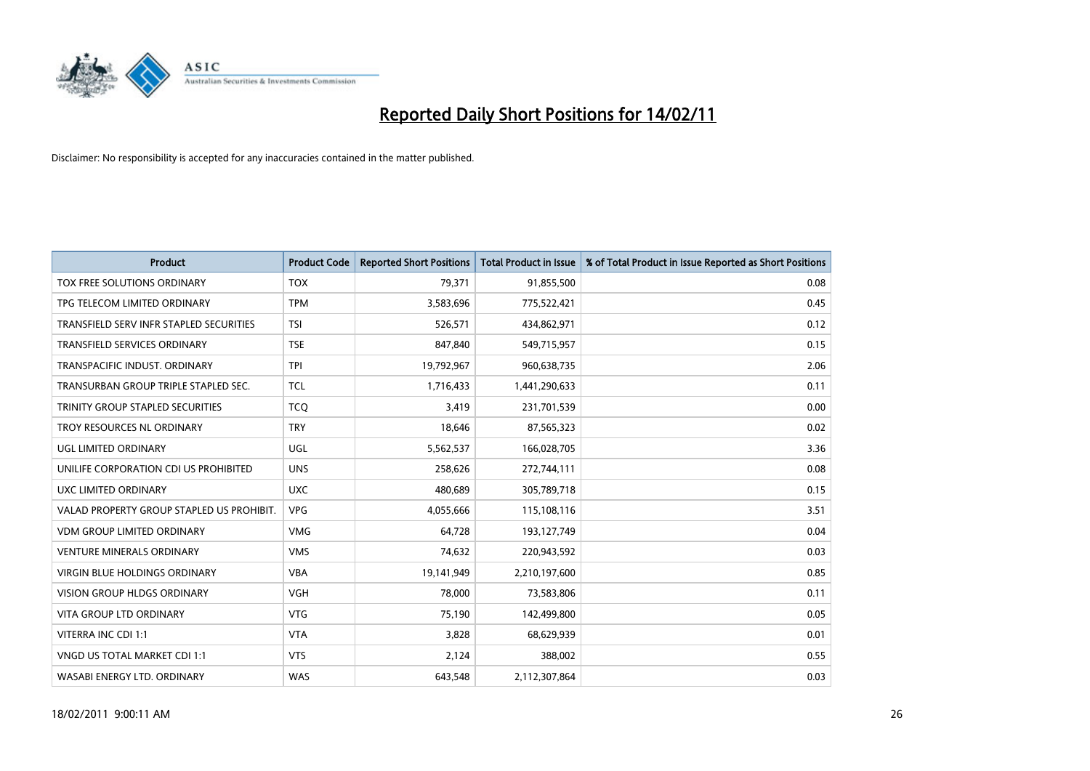

| <b>Product</b>                            | <b>Product Code</b> | <b>Reported Short Positions</b> | <b>Total Product in Issue</b> | % of Total Product in Issue Reported as Short Positions |
|-------------------------------------------|---------------------|---------------------------------|-------------------------------|---------------------------------------------------------|
| TOX FREE SOLUTIONS ORDINARY               | <b>TOX</b>          | 79,371                          | 91,855,500                    | 0.08                                                    |
| TPG TELECOM LIMITED ORDINARY              | <b>TPM</b>          | 3,583,696                       | 775,522,421                   | 0.45                                                    |
| TRANSFIELD SERV INFR STAPLED SECURITIES   | <b>TSI</b>          | 526,571                         | 434,862,971                   | 0.12                                                    |
| TRANSFIELD SERVICES ORDINARY              | <b>TSE</b>          | 847,840                         | 549,715,957                   | 0.15                                                    |
| TRANSPACIFIC INDUST, ORDINARY             | <b>TPI</b>          | 19,792,967                      | 960,638,735                   | 2.06                                                    |
| TRANSURBAN GROUP TRIPLE STAPLED SEC.      | <b>TCL</b>          | 1,716,433                       | 1,441,290,633                 | 0.11                                                    |
| TRINITY GROUP STAPLED SECURITIES          | <b>TCO</b>          | 3,419                           | 231,701,539                   | 0.00                                                    |
| TROY RESOURCES NL ORDINARY                | <b>TRY</b>          | 18,646                          | 87,565,323                    | 0.02                                                    |
| UGL LIMITED ORDINARY                      | <b>UGL</b>          | 5,562,537                       | 166,028,705                   | 3.36                                                    |
| UNILIFE CORPORATION CDI US PROHIBITED     | <b>UNS</b>          | 258,626                         | 272,744,111                   | 0.08                                                    |
| UXC LIMITED ORDINARY                      | <b>UXC</b>          | 480,689                         | 305,789,718                   | 0.15                                                    |
| VALAD PROPERTY GROUP STAPLED US PROHIBIT. | <b>VPG</b>          | 4,055,666                       | 115,108,116                   | 3.51                                                    |
| <b>VDM GROUP LIMITED ORDINARY</b>         | <b>VMG</b>          | 64,728                          | 193,127,749                   | 0.04                                                    |
| <b>VENTURE MINERALS ORDINARY</b>          | <b>VMS</b>          | 74,632                          | 220,943,592                   | 0.03                                                    |
| VIRGIN BLUE HOLDINGS ORDINARY             | <b>VBA</b>          | 19,141,949                      | 2,210,197,600                 | 0.85                                                    |
| <b>VISION GROUP HLDGS ORDINARY</b>        | <b>VGH</b>          | 78,000                          | 73,583,806                    | 0.11                                                    |
| <b>VITA GROUP LTD ORDINARY</b>            | <b>VTG</b>          | 75,190                          | 142,499,800                   | 0.05                                                    |
| VITERRA INC CDI 1:1                       | <b>VTA</b>          | 3,828                           | 68,629,939                    | 0.01                                                    |
| VNGD US TOTAL MARKET CDI 1:1              | <b>VTS</b>          | 2,124                           | 388,002                       | 0.55                                                    |
| WASABI ENERGY LTD. ORDINARY               | <b>WAS</b>          | 643,548                         | 2,112,307,864                 | 0.03                                                    |